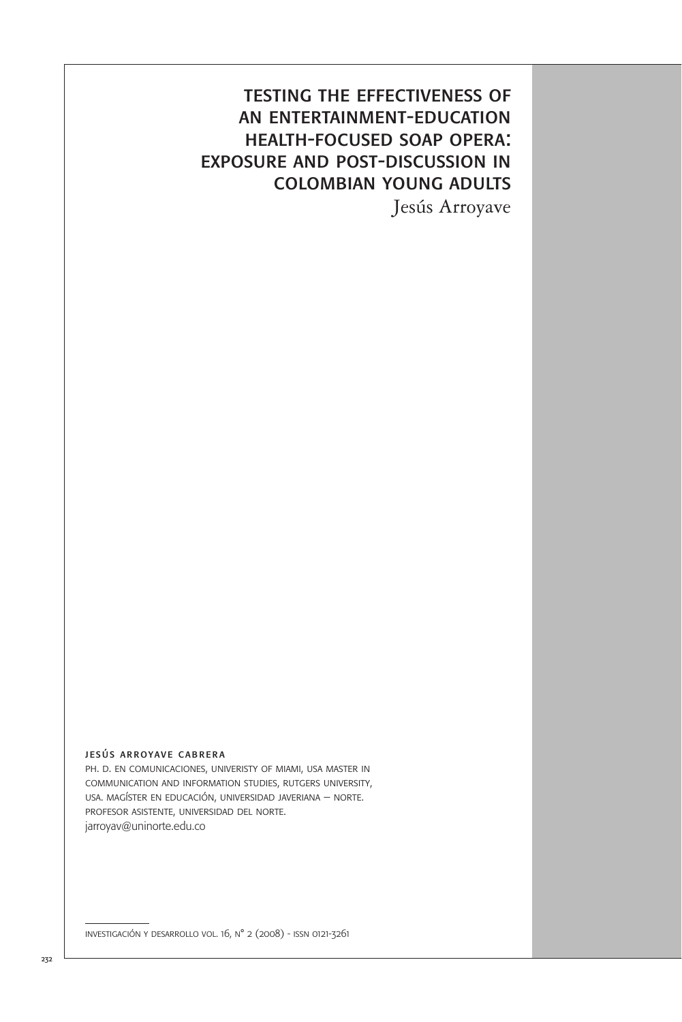## testing the effectiveness of an entertainment-education health-focused soap opera: exposure and post-discussion in colombian young adults

Jesús Arroyave

#### jesús arroyave cabrera

ph. d. en comunicaciones, univeristy of miami, usa master in communication and information studies, rutgers university, usa. magíster en educación, universidad javeriana – norte. profesor asistente, universidad del norte. jarroyav@uninorte.edu.co

investigación y desarrollo vol. 16, n° 2 (2008) - issn 0121-3261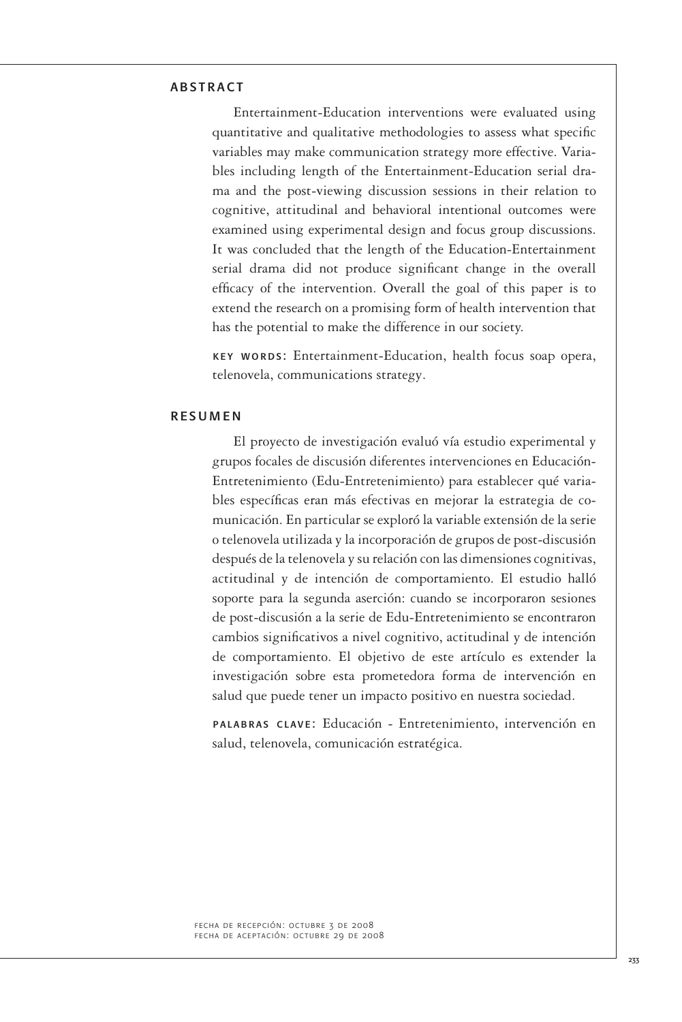## **ARSTRACT**

Entertainment-Education interventions were evaluated using quantitative and qualitative methodologies to assess what specific variables may make communication strategy more effective. Variables including length of the Entertainment-Education serial drama and the post-viewing discussion sessions in their relation to cognitive, attitudinal and behavioral intentional outcomes were examined using experimental design and focus group discussions. It was concluded that the length of the Education-Entertainment serial drama did not produce significant change in the overall efficacy of the intervention. Overall the goal of this paper is to extend the research on a promising form of health intervention that has the potential to make the difference in our society.

key words: Entertainment-Education, health focus soap opera, telenovela, communications strategy.

#### resumen

El proyecto de investigación evaluó vía estudio experimental y grupos focales de discusión diferentes intervenciones en Educación-Entretenimiento (Edu-Entretenimiento) para establecer qué variables específicas eran más efectivas en mejorar la estrategia de comunicación. En particular se exploró la variable extensión de la serie o telenovela utilizada y la incorporación de grupos de post-discusión después de la telenovela y su relación con las dimensiones cognitivas, actitudinal y de intención de comportamiento. El estudio halló soporte para la segunda aserción: cuando se incorporaron sesiones de post-discusión a la serie de Edu-Entretenimiento se encontraron cambios significativos a nivel cognitivo, actitudinal y de intención de comportamiento. El objetivo de este artículo es extender la investigación sobre esta prometedora forma de intervención en salud que puede tener un impacto positivo en nuestra sociedad.

palabras clave: Educación - Entretenimiento, intervención en salud, telenovela, comunicación estratégica.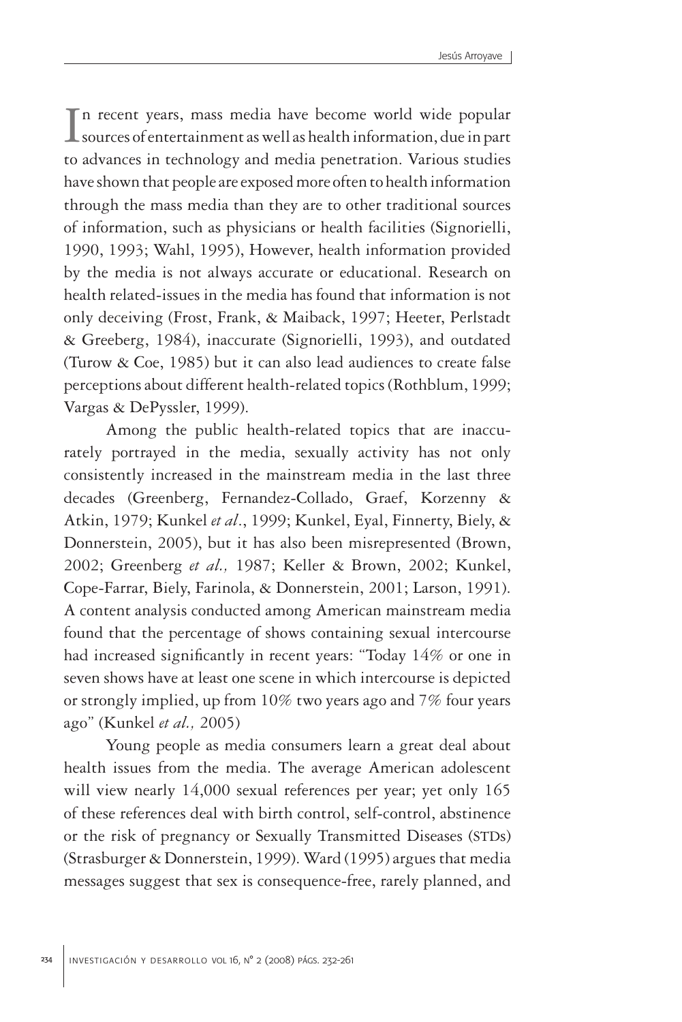In recent years, mass media have become world wide popular<br>sources of entertainment as well as health information, due in part  $\perp$  sources of entertainment as well as health information, due in part to advances in technology and media penetration. Various studies have shown that people are exposed more often to health information through the mass media than they are to other traditional sources of information, such as physicians or health facilities (Signorielli, 1990, 1993; Wahl, 1995), However, health information provided by the media is not always accurate or educational. Research on health related-issues in the media has found that information is not only deceiving (Frost, Frank, & Maiback, 1997; Heeter, Perlstadt & Greeberg, 1984), inaccurate (Signorielli, 1993), and outdated (Turow & Coe, 1985) but it can also lead audiences to create false perceptions about different health-related topics (Rothblum, 1999; Vargas & DePyssler, 1999).

Among the public health-related topics that are inaccurately portrayed in the media, sexually activity has not only consistently increased in the mainstream media in the last three decades (Greenberg, Fernandez-Collado, Graef, Korzenny & Atkin, 1979; Kunkel *et al*., 1999; Kunkel, Eyal, Finnerty, Biely, & Donnerstein, 2005), but it has also been misrepresented (Brown, 2002; Greenberg *et al.,* 1987; Keller & Brown, 2002; Kunkel, Cope-Farrar, Biely, Farinola, & Donnerstein, 2001; Larson, 1991). A content analysis conducted among American mainstream media found that the percentage of shows containing sexual intercourse had increased significantly in recent years: "Today 14% or one in seven shows have at least one scene in which intercourse is depicted or strongly implied, up from 10% two years ago and 7% four years ago" (Kunkel *et al.,* 2005)

Young people as media consumers learn a great deal about health issues from the media. The average American adolescent will view nearly 14,000 sexual references per year; yet only 165 of these references deal with birth control, self-control, abstinence or the risk of pregnancy or Sexually Transmitted Diseases (STDs) (Strasburger & Donnerstein, 1999). Ward (1995) argues that media messages suggest that sex is consequence-free, rarely planned, and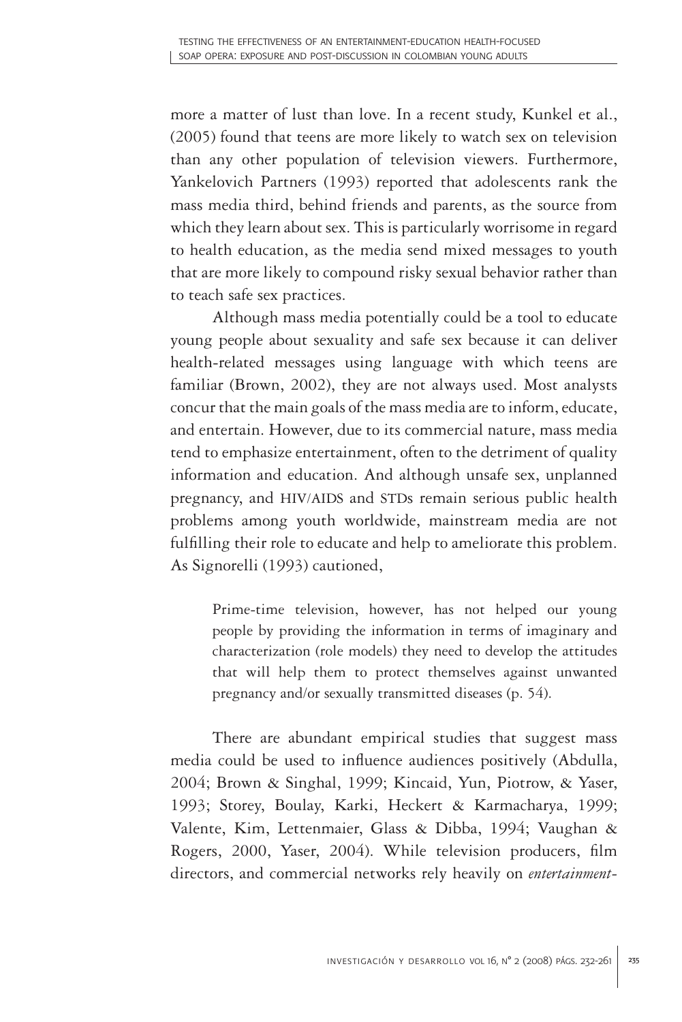more a matter of lust than love. In a recent study, Kunkel et al., (2005) found that teens are more likely to watch sex on television than any other population of television viewers. Furthermore, Yankelovich Partners (1993) reported that adolescents rank the mass media third, behind friends and parents, as the source from which they learn about sex. This is particularly worrisome in regard to health education, as the media send mixed messages to youth that are more likely to compound risky sexual behavior rather than to teach safe sex practices.

Although mass media potentially could be a tool to educate young people about sexuality and safe sex because it can deliver health-related messages using language with which teens are familiar (Brown, 2002), they are not always used. Most analysts concur that the main goals of the mass media are to inform, educate, and entertain. However, due to its commercial nature, mass media tend to emphasize entertainment, often to the detriment of quality information and education. And although unsafe sex, unplanned pregnancy, and HIV/AIDS and STDs remain serious public health problems among youth worldwide, mainstream media are not fulfilling their role to educate and help to ameliorate this problem. As Signorelli (1993) cautioned,

Prime-time television, however, has not helped our young people by providing the information in terms of imaginary and characterization (role models) they need to develop the attitudes that will help them to protect themselves against unwanted pregnancy and/or sexually transmitted diseases (p. 54).

There are abundant empirical studies that suggest mass media could be used to influence audiences positively (Abdulla, 2004; Brown & Singhal, 1999; Kincaid, Yun, Piotrow, & Yaser, 1993; Storey, Boulay, Karki, Heckert & Karmacharya, 1999; Valente, Kim, Lettenmaier, Glass & Dibba, 1994; Vaughan & Rogers, 2000, Yaser, 2004). While television producers, film directors, and commercial networks rely heavily on *entertainment-*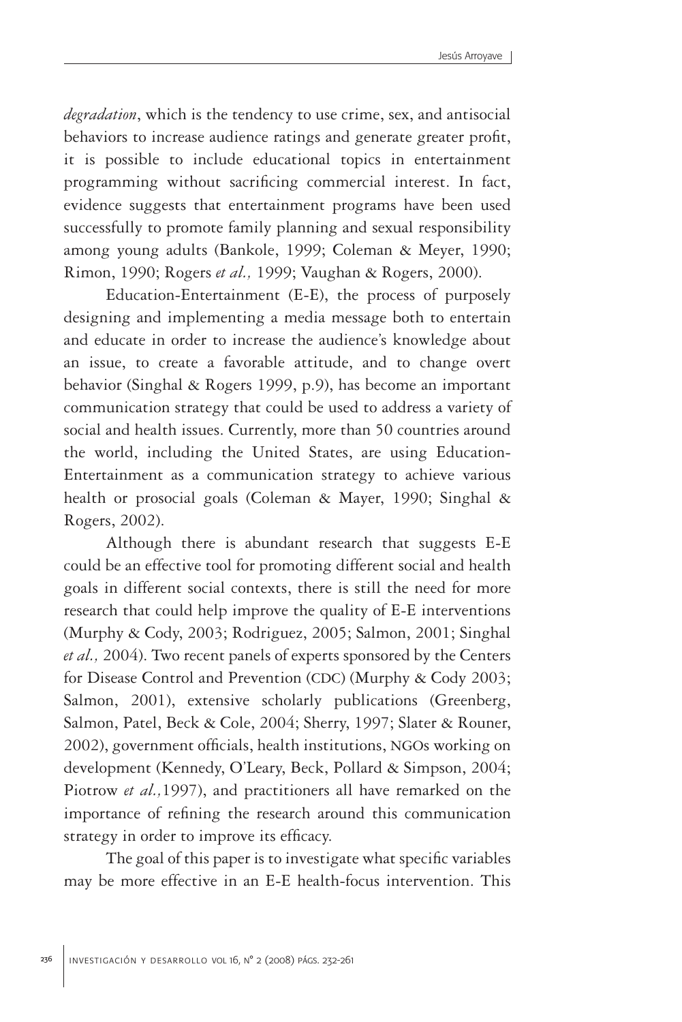*degradation*, which is the tendency to use crime, sex, and antisocial behaviors to increase audience ratings and generate greater profit, it is possible to include educational topics in entertainment programming without sacrificing commercial interest. In fact, evidence suggests that entertainment programs have been used successfully to promote family planning and sexual responsibility among young adults (Bankole, 1999; Coleman & Meyer, 1990; Rimon, 1990; Rogers *et al.,* 1999; Vaughan & Rogers, 2000).

Education-Entertainment (E-E), the process of purposely designing and implementing a media message both to entertain and educate in order to increase the audience's knowledge about an issue, to create a favorable attitude, and to change overt behavior (Singhal & Rogers 1999, p.9), has become an important communication strategy that could be used to address a variety of social and health issues. Currently, more than 50 countries around the world, including the United States, are using Education-Entertainment as a communication strategy to achieve various health or prosocial goals (Coleman & Mayer, 1990; Singhal & Rogers, 2002).

Although there is abundant research that suggests E-E could be an effective tool for promoting different social and health goals in different social contexts, there is still the need for more research that could help improve the quality of E-E interventions (Murphy & Cody, 2003; Rodriguez, 2005; Salmon, 2001; Singhal *et al.,* 2004). Two recent panels of experts sponsored by the Centers for Disease Control and Prevention (CDC) (Murphy & Cody 2003; Salmon, 2001), extensive scholarly publications (Greenberg, Salmon, Patel, Beck & Cole, 2004; Sherry, 1997; Slater & Rouner, 2002), government officials, health institutions, NGOs working on development (Kennedy, O'Leary, Beck, Pollard & Simpson, 2004; Piotrow *et al.,*1997), and practitioners all have remarked on the importance of refining the research around this communication strategy in order to improve its efficacy.

The goal of this paper is to investigate what specific variables may be more effective in an E-E health-focus intervention. This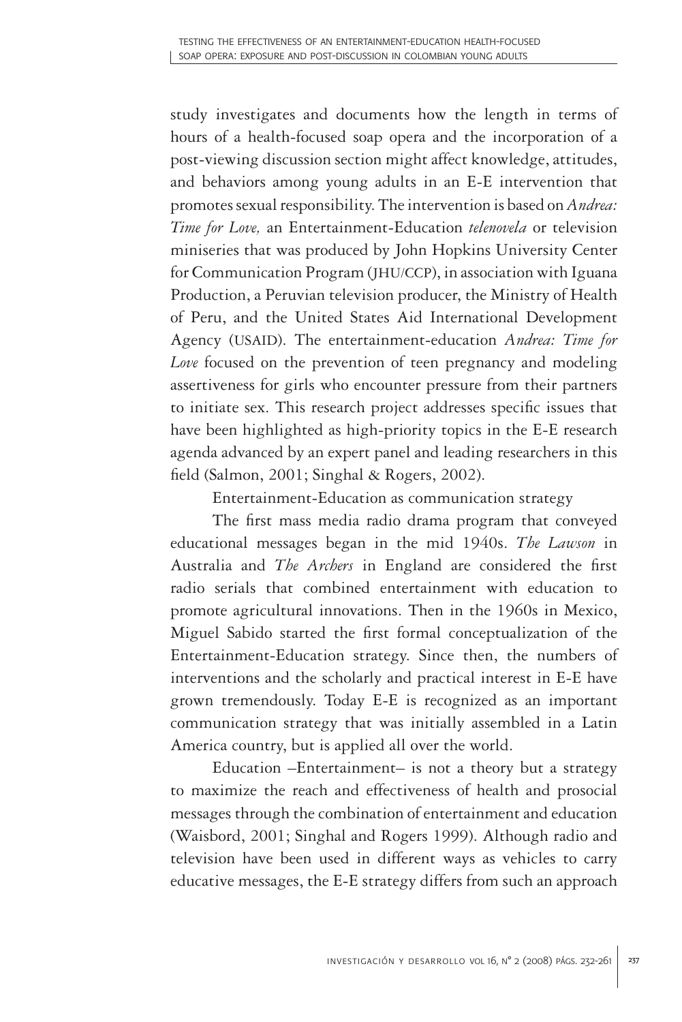study investigates and documents how the length in terms of hours of a health-focused soap opera and the incorporation of a post-viewing discussion section might affect knowledge, attitudes, and behaviors among young adults in an E-E intervention that promotes sexual responsibility. The intervention is based on *Andrea: Time for Love,* an Entertainment-Education *telenovela* or television miniseries that was produced by John Hopkins University Center for Communication Program (JHU/CCP), in association with Iguana Production, a Peruvian television producer, the Ministry of Health of Peru, and the United States Aid International Development Agency (USAID). The entertainment-education *Andrea: Time for Love* focused on the prevention of teen pregnancy and modeling assertiveness for girls who encounter pressure from their partners to initiate sex. This research project addresses specific issues that have been highlighted as high-priority topics in the E-E research agenda advanced by an expert panel and leading researchers in this field (Salmon, 2001; Singhal & Rogers, 2002).

Entertainment-Education as communication strategy

The first mass media radio drama program that conveyed educational messages began in the mid 1940s. *The Lawson* in Australia and *The Archers* in England are considered the first radio serials that combined entertainment with education to promote agricultural innovations. Then in the 1960s in Mexico, Miguel Sabido started the first formal conceptualization of the Entertainment-Education strategy. Since then, the numbers of interventions and the scholarly and practical interest in E-E have grown tremendously. Today E-E is recognized as an important communication strategy that was initially assembled in a Latin America country, but is applied all over the world.

Education –Entertainment– is not a theory but a strategy to maximize the reach and effectiveness of health and prosocial messages through the combination of entertainment and education (Waisbord, 2001; Singhal and Rogers 1999). Although radio and television have been used in different ways as vehicles to carry educative messages, the E-E strategy differs from such an approach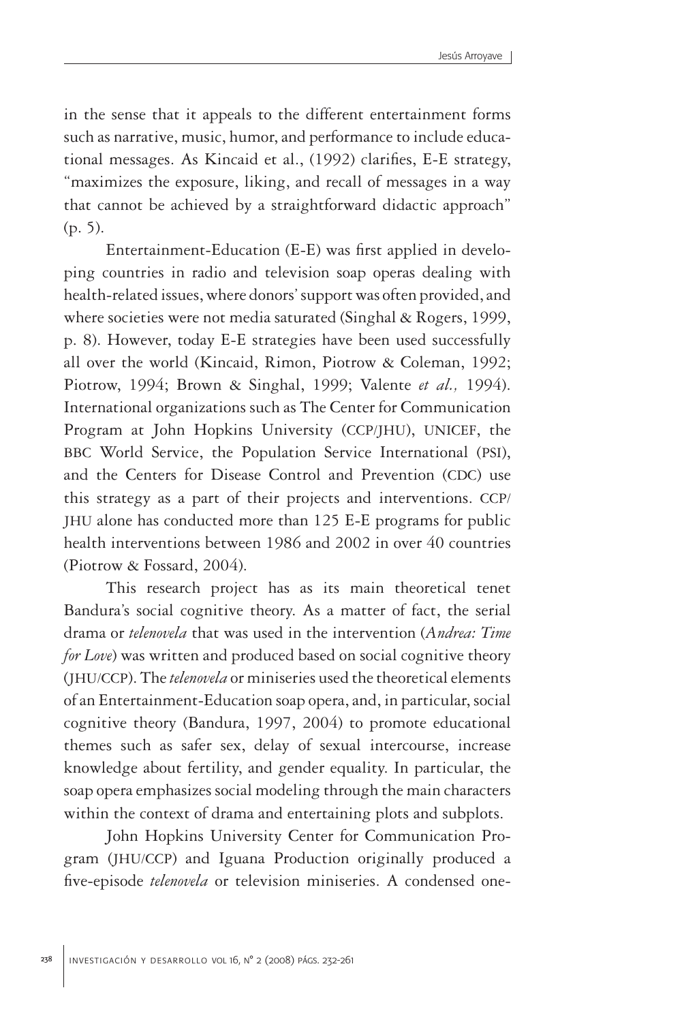in the sense that it appeals to the different entertainment forms such as narrative, music, humor, and performance to include educational messages. As Kincaid et al., (1992) clarifies, E-E strategy, "maximizes the exposure, liking, and recall of messages in a way that cannot be achieved by a straightforward didactic approach" (p. 5).

Entertainment-Education (E-E) was first applied in developing countries in radio and television soap operas dealing with health-related issues, where donors' support was often provided, and where societies were not media saturated (Singhal & Rogers, 1999, p. 8). However, today E-E strategies have been used successfully all over the world (Kincaid, Rimon, Piotrow & Coleman, 1992; Piotrow, 1994; Brown & Singhal, 1999; Valente *et al.,* 1994). International organizations such as The Center for Communication Program at John Hopkins University (CCP/JHU), UNICEF, the BBC World Service, the Population Service International (PSI), and the Centers for Disease Control and Prevention (CDC) use this strategy as a part of their projects and interventions. CCP/ JHU alone has conducted more than 125 E-E programs for public health interventions between 1986 and 2002 in over 40 countries (Piotrow & Fossard, 2004).

This research project has as its main theoretical tenet Bandura's social cognitive theory. As a matter of fact, the serial drama or *telenovela* that was used in the intervention (*Andrea: Time for Love*) was written and produced based on social cognitive theory (JHU/CCP). The *telenovela* or miniseries used the theoretical elements of an Entertainment-Education soap opera, and, in particular, social cognitive theory (Bandura, 1997, 2004) to promote educational themes such as safer sex, delay of sexual intercourse, increase knowledge about fertility, and gender equality. In particular, the soap opera emphasizes social modeling through the main characters within the context of drama and entertaining plots and subplots.

John Hopkins University Center for Communication Program (JHU/CCP) and Iguana Production originally produced a five-episode *telenovela* or television miniseries. A condensed one-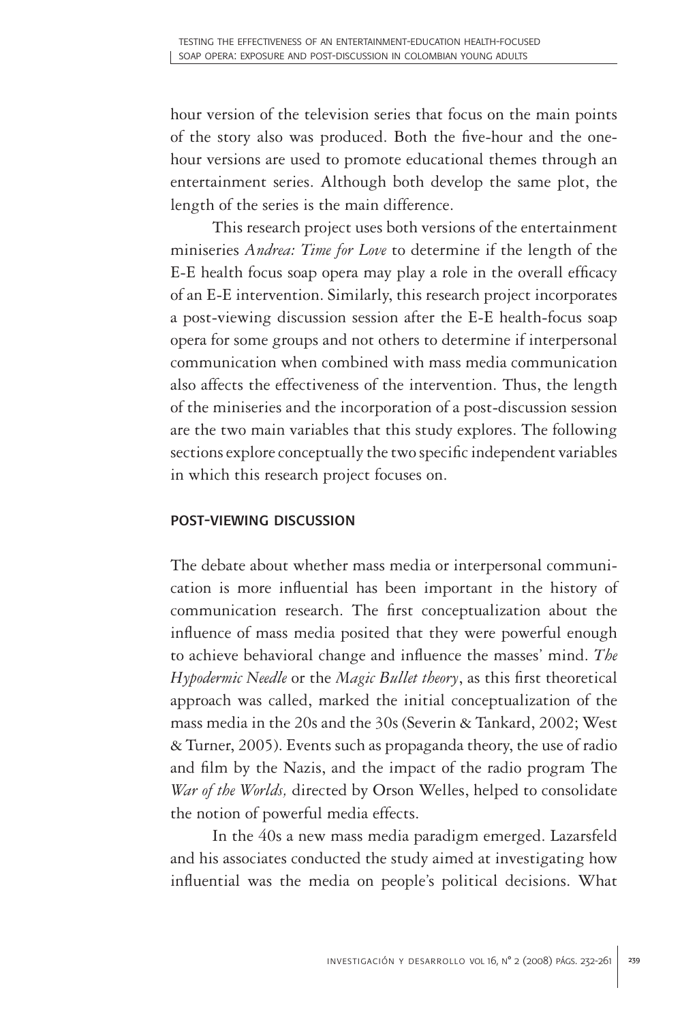hour version of the television series that focus on the main points of the story also was produced. Both the five-hour and the onehour versions are used to promote educational themes through an entertainment series. Although both develop the same plot, the length of the series is the main difference.

This research project uses both versions of the entertainment miniseries *Andrea: Time for Love* to determine if the length of the E-E health focus soap opera may play a role in the overall efficacy of an E-E intervention. Similarly, this research project incorporates a post-viewing discussion session after the E-E health-focus soap opera for some groups and not others to determine if interpersonal communication when combined with mass media communication also affects the effectiveness of the intervention. Thus, the length of the miniseries and the incorporation of a post-discussion session are the two main variables that this study explores. The following sections explore conceptually the two specific independent variables in which this research project focuses on.

## post-viewing discussion

The debate about whether mass media or interpersonal communication is more influential has been important in the history of communication research. The first conceptualization about the influence of mass media posited that they were powerful enough to achieve behavioral change and influence the masses' mind. *The Hypodermic Needle* or the *Magic Bullet theory*, as this first theoretical approach was called, marked the initial conceptualization of the mass media in the 20s and the 30s (Severin & Tankard, 2002; West & Turner, 2005). Events such as propaganda theory, the use of radio and film by the Nazis, and the impact of the radio program The *War of the Worlds,* directed by Orson Welles, helped to consolidate the notion of powerful media effects.

In the 40s a new mass media paradigm emerged. Lazarsfeld and his associates conducted the study aimed at investigating how influential was the media on people's political decisions. What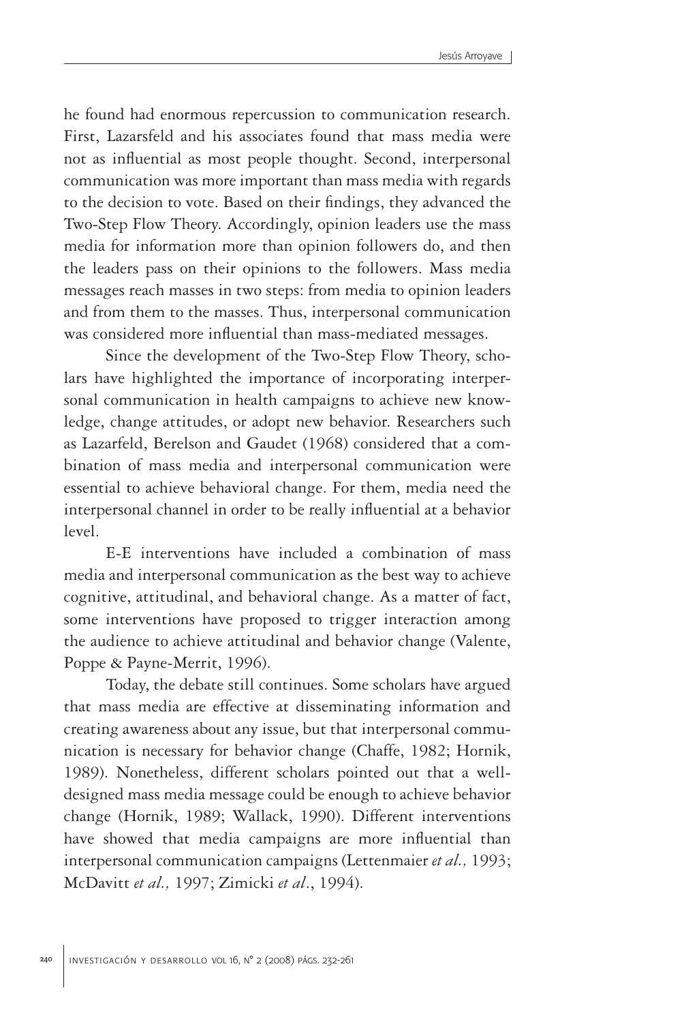he found had enormous repercussion to communication research. First, Lazarsfeld and his associates found that mass media were not as influential as most people thought. Second, interpersonal communication was more important than mass media with regards to the decision to vote. Based on their findings, they advanced the Two-Step Flow Theory. Accordingly, opinion leaders use the mass media for information more than opinion followers do, and then the leaders pass on their opinions to the followers. Mass media messages reach masses in two steps: from media to opinion leaders and from them to the masses. Thus, interpersonal communication was considered more influential than mass-mediated messages.

Since the development of the Two-Step Flow Theory, scholars have highlighted the importance of incorporating interpersonal communication in health campaigns to achieve new knowledge, change attitudes, or adopt new behavior. Researchers such as Lazarfeld, Berelson and Gaudet (1968) considered that a combination of mass media and interpersonal communication were essential to achieve behavioral change. For them, media need the interpersonal channel in order to be really influential at a behavior level.

E-E interventions have included a combination of mass media and interpersonal communication as the best way to achieve cognitive, attitudinal, and behavioral change. As a matter of fact, some interventions have proposed to trigger interaction among the audience to achieve attitudinal and behavior change (Valente, Poppe & Payne-Merrit, 1996).

Today, the debate still continues. Some scholars have argued that mass media are effective at disseminating information and creating awareness about any issue, but that interpersonal communication is necessary for behavior change (Chaffe, 1982; Hornik, 1989). Nonetheless, different scholars pointed out that a welldesigned mass media message could be enough to achieve behavior change (Hornik, 1989; Wallack, 1990). Different interventions have showed that media campaigns are more influential than interpersonal communication campaigns (Lettenmaier *et al.,* 1993; McDavitt *et al.,* 1997; Zimicki *et al*., 1994).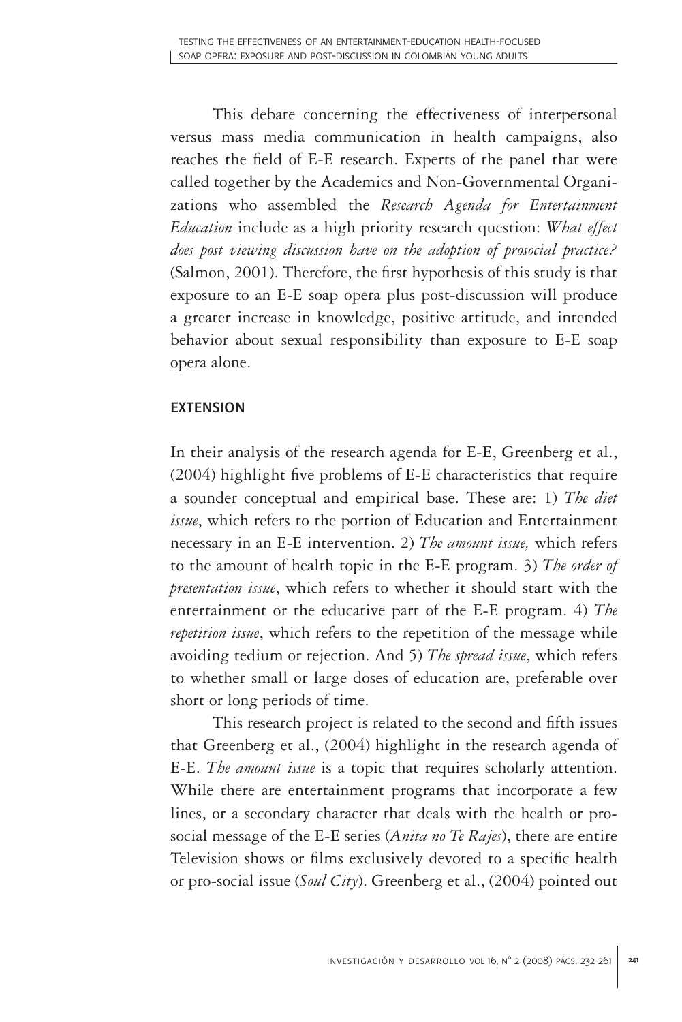This debate concerning the effectiveness of interpersonal versus mass media communication in health campaigns, also reaches the field of E-E research. Experts of the panel that were called together by the Academics and Non-Governmental Organizations who assembled the *Research Agenda for Entertainment Education* include as a high priority research question: *What effect does post viewing discussion have on the adoption of prosocial practice?* (Salmon, 2001). Therefore, the first hypothesis of this study is that exposure to an E-E soap opera plus post-discussion will produce a greater increase in knowledge, positive attitude, and intended behavior about sexual responsibility than exposure to E-E soap opera alone.

## **EXTENSION**

In their analysis of the research agenda for E-E, Greenberg et al., (2004) highlight five problems of E-E characteristics that require a sounder conceptual and empirical base. These are: 1) *The diet issue*, which refers to the portion of Education and Entertainment necessary in an E-E intervention. 2) *The amount issue,* which refers to the amount of health topic in the E-E program. 3) *The order of presentation issue*, which refers to whether it should start with the entertainment or the educative part of the E-E program. 4) *The repetition issue*, which refers to the repetition of the message while avoiding tedium or rejection. And 5) *The spread issue*, which refers to whether small or large doses of education are, preferable over short or long periods of time.

This research project is related to the second and fifth issues that Greenberg et al., (2004) highlight in the research agenda of E-E. *The amount issue* is a topic that requires scholarly attention. While there are entertainment programs that incorporate a few lines, or a secondary character that deals with the health or prosocial message of the E-E series (*Anita no Te Rajes*), there are entire Television shows or films exclusively devoted to a specific health or pro-social issue (*Soul City*). Greenberg et al., (2004) pointed out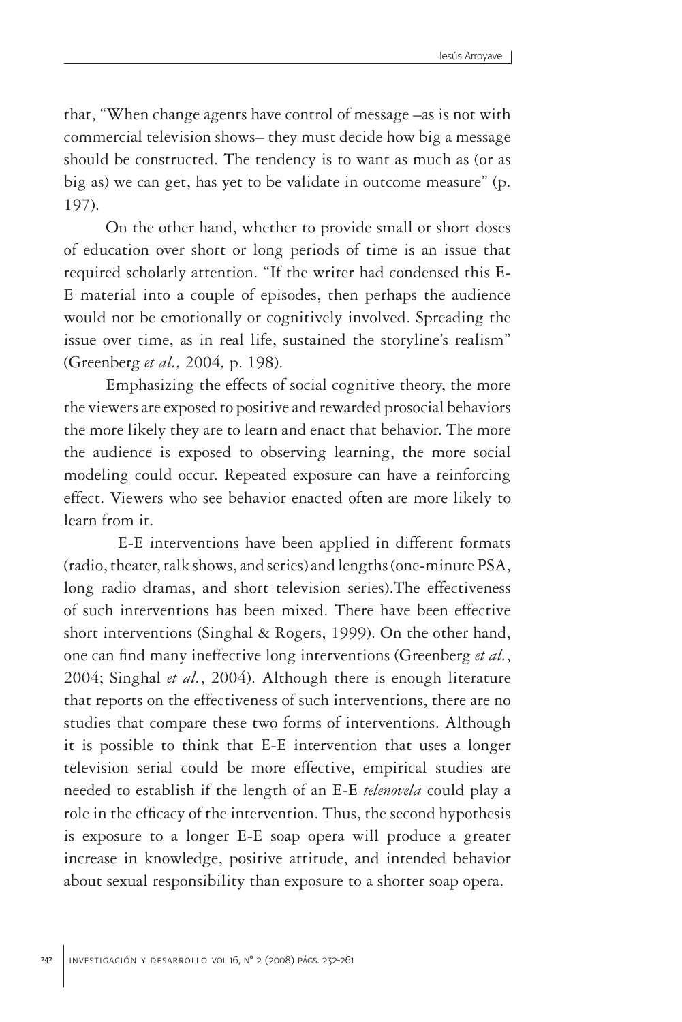that, "When change agents have control of message –as is not with commercial television shows– they must decide how big a message should be constructed. The tendency is to want as much as (or as big as) we can get, has yet to be validate in outcome measure" (p. 197).

On the other hand, whether to provide small or short doses of education over short or long periods of time is an issue that required scholarly attention. "If the writer had condensed this E-E material into a couple of episodes, then perhaps the audience would not be emotionally or cognitively involved. Spreading the issue over time, as in real life, sustained the storyline's realism" (Greenberg *et al.,* 2004*,* p. 198).

Emphasizing the effects of social cognitive theory, the more the viewers are exposed to positive and rewarded prosocial behaviors the more likely they are to learn and enact that behavior. The more the audience is exposed to observing learning, the more social modeling could occur. Repeated exposure can have a reinforcing effect. Viewers who see behavior enacted often are more likely to learn from it.

 E-E interventions have been applied in different formats (radio, theater, talk shows, and series) and lengths (one-minute PSA, long radio dramas, and short television series).The effectiveness of such interventions has been mixed. There have been effective short interventions (Singhal & Rogers, 1999). On the other hand, one can find many ineffective long interventions (Greenberg *et al.*, 2004; Singhal *et al.*, 2004). Although there is enough literature that reports on the effectiveness of such interventions, there are no studies that compare these two forms of interventions. Although it is possible to think that E-E intervention that uses a longer television serial could be more effective, empirical studies are needed to establish if the length of an E-E *telenovela* could play a role in the efficacy of the intervention. Thus, the second hypothesis is exposure to a longer E-E soap opera will produce a greater increase in knowledge, positive attitude, and intended behavior about sexual responsibility than exposure to a shorter soap opera.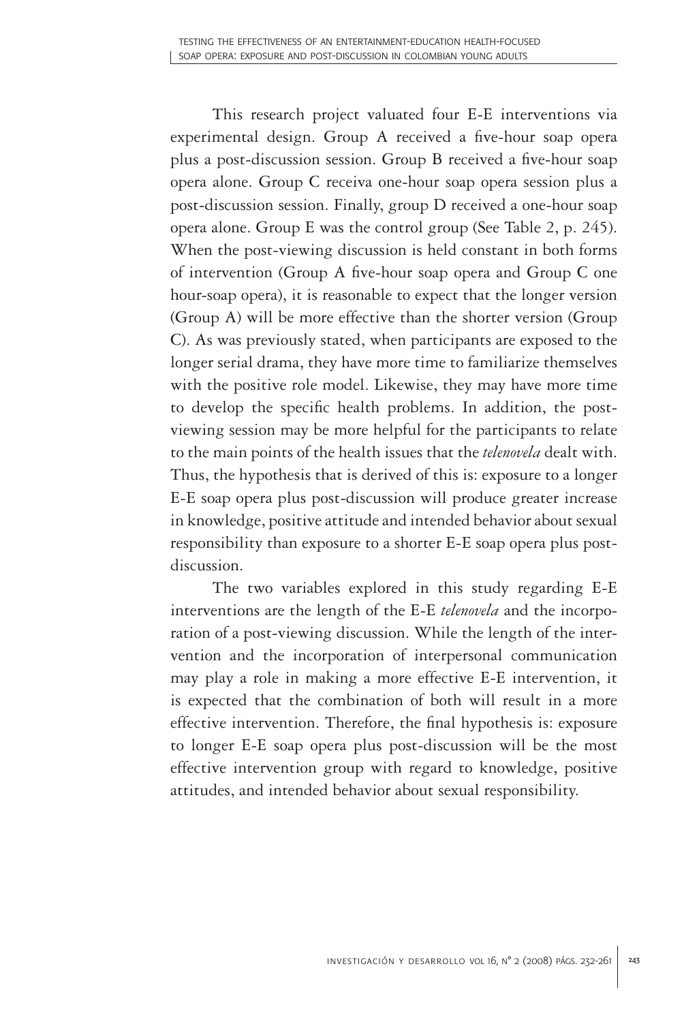This research project valuated four E-E interventions via experimental design. Group A received a five-hour soap opera plus a post-discussion session. Group B received a five-hour soap opera alone. Group C receiva one-hour soap opera session plus a post-discussion session. Finally, group D received a one-hour soap opera alone. Group E was the control group (See Table 2, p. 245). When the post-viewing discussion is held constant in both forms of intervention (Group A five-hour soap opera and Group C one hour-soap opera), it is reasonable to expect that the longer version (Group A) will be more effective than the shorter version (Group C). As was previously stated, when participants are exposed to the longer serial drama, they have more time to familiarize themselves with the positive role model. Likewise, they may have more time to develop the specific health problems. In addition, the postviewing session may be more helpful for the participants to relate to the main points of the health issues that the *telenovela* dealt with. Thus, the hypothesis that is derived of this is: exposure to a longer E-E soap opera plus post-discussion will produce greater increase in knowledge, positive attitude and intended behavior about sexual responsibility than exposure to a shorter E-E soap opera plus postdiscussion.

The two variables explored in this study regarding E-E interventions are the length of the E-E *telenovela* and the incorporation of a post-viewing discussion. While the length of the intervention and the incorporation of interpersonal communication may play a role in making a more effective E-E intervention, it is expected that the combination of both will result in a more effective intervention. Therefore, the final hypothesis is: exposure to longer E-E soap opera plus post-discussion will be the most effective intervention group with regard to knowledge, positive attitudes, and intended behavior about sexual responsibility.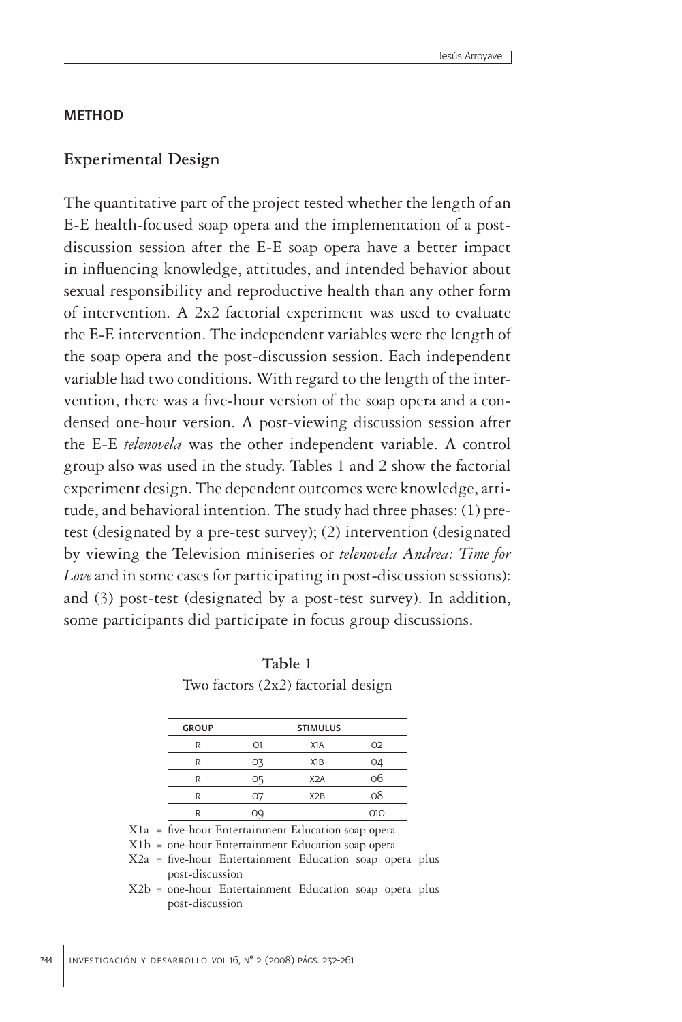#### **METHOD**

#### **Experimental Design**

The quantitative part of the project tested whether the length of an E-E health-focused soap opera and the implementation of a postdiscussion session after the E-E soap opera have a better impact in influencing knowledge, attitudes, and intended behavior about sexual responsibility and reproductive health than any other form of intervention. A 2x2 factorial experiment was used to evaluate the E-E intervention. The independent variables were the length of the soap opera and the post-discussion session. Each independent variable had two conditions. With regard to the length of the intervention, there was a five-hour version of the soap opera and a condensed one-hour version. A post-viewing discussion session after the E-E *telenovela* was the other independent variable. A control group also was used in the study. Tables 1 and 2 show the factorial experiment design. The dependent outcomes were knowledge, attitude, and behavioral intention. The study had three phases: (1) pretest (designated by a pre-test survey); (2) intervention (designated by viewing the Television miniseries or *telenovela Andrea: Time for Love* and in some cases for participating in post-discussion sessions): and (3) post-test (designated by a post-test survey). In addition, some participants did participate in focus group discussions.

**Table 1** Two factors (2x2) factorial design

| <b>GROUP</b> | <b>STIMULUS</b> |                  |     |  |  |
|--------------|-----------------|------------------|-----|--|--|
| R            | O1              | X <sub>1</sub> A | 02  |  |  |
| R            | O3              | X <sub>1</sub> B | 04  |  |  |
| R            | 05              | X <sub>2</sub> A | 06  |  |  |
| R            | 0               | X2B              | 08  |  |  |
| R            | OQ.             |                  | 010 |  |  |

X1a = five-hour Entertainment Education soap opera

X1b = one-hour Entertainment Education soap opera

X2a = five-hour Entertainment Education soap opera plus post-discussion

X2b = one-hour Entertainment Education soap opera plus post-discussion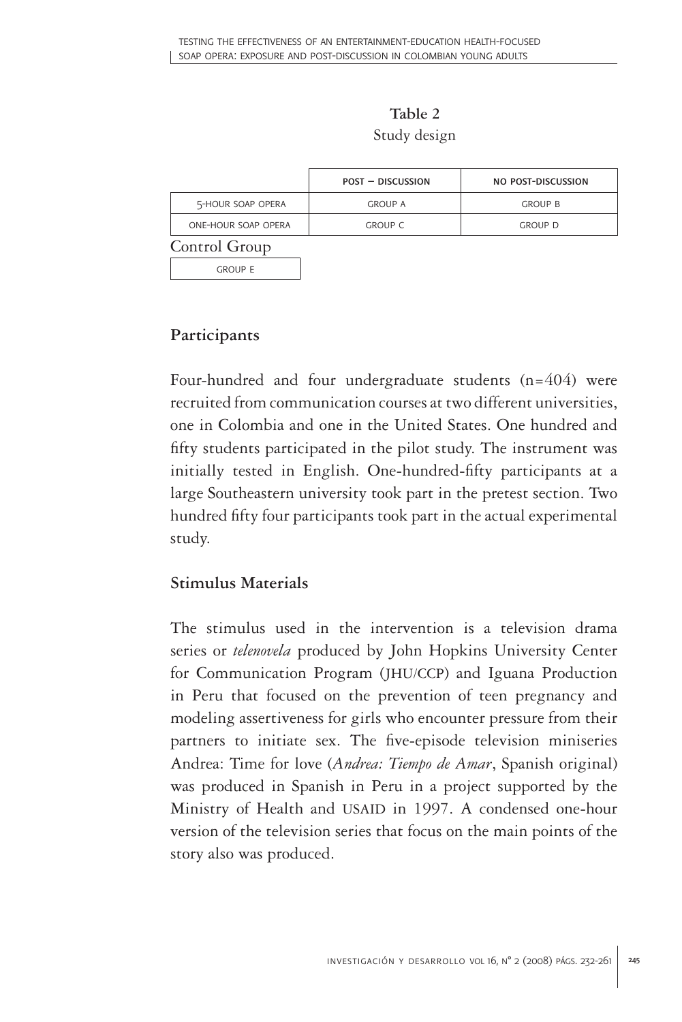**Table 2** Study design

|                     | <b>POST - DISCUSSION</b> | NO POST-DISCUSSION |
|---------------------|--------------------------|--------------------|
| 5-HOUR SOAP OPERA   | <b>GROUP A</b>           | <b>GROUP B</b>     |
| ONE-HOUR SOAP OPERA | <b>GROUP C</b>           | <b>GROUP D</b>     |
| Control Group       |                          |                    |
| GROUP F             |                          |                    |

# **Participants**

Four-hundred and four undergraduate students (n=404) were recruited from communication courses at two different universities, one in Colombia and one in the United States. One hundred and fifty students participated in the pilot study. The instrument was initially tested in English. One-hundred-fifty participants at a large Southeastern university took part in the pretest section. Two hundred fifty four participants took part in the actual experimental study.

## **Stimulus Materials**

The stimulus used in the intervention is a television drama series or *telenovela* produced by John Hopkins University Center for Communication Program (JHU/CCP) and Iguana Production in Peru that focused on the prevention of teen pregnancy and modeling assertiveness for girls who encounter pressure from their partners to initiate sex. The five-episode television miniseries Andrea: Time for love (*Andrea: Tiempo de Amar*, Spanish original) was produced in Spanish in Peru in a project supported by the Ministry of Health and USAID in 1997. A condensed one-hour version of the television series that focus on the main points of the story also was produced.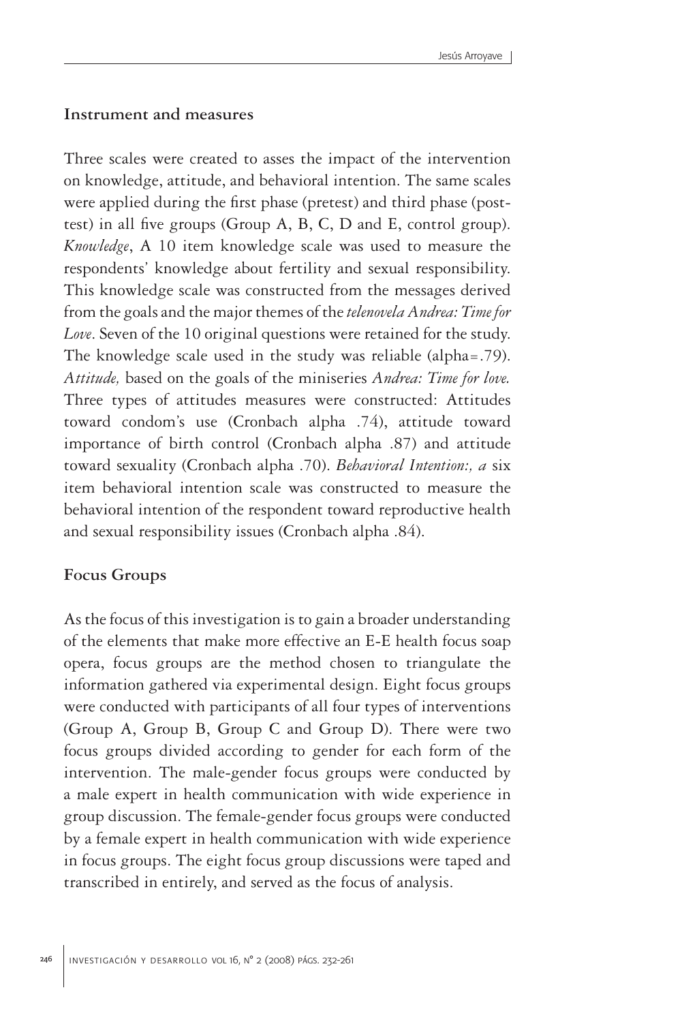#### **Instrument and measures**

Three scales were created to asses the impact of the intervention on knowledge, attitude, and behavioral intention. The same scales were applied during the first phase (pretest) and third phase (posttest) in all five groups (Group A, B, C, D and E, control group). *Knowledge*, A 10 item knowledge scale was used to measure the respondents' knowledge about fertility and sexual responsibility. This knowledge scale was constructed from the messages derived from the goals and the major themes of the *telenovela Andrea: Time for Love*. Seven of the 10 original questions were retained for the study. The knowledge scale used in the study was reliable (alpha=.79). *Attitude,* based on the goals of the miniseries *Andrea: Time for love.* Three types of attitudes measures were constructed: Attitudes toward condom's use (Cronbach alpha .74), attitude toward importance of birth control (Cronbach alpha .87) and attitude toward sexuality (Cronbach alpha .70). *Behavioral Intention:, a* six item behavioral intention scale was constructed to measure the behavioral intention of the respondent toward reproductive health and sexual responsibility issues (Cronbach alpha .84).

#### **Focus Groups**

As the focus of this investigation is to gain a broader understanding of the elements that make more effective an E-E health focus soap opera, focus groups are the method chosen to triangulate the information gathered via experimental design. Eight focus groups were conducted with participants of all four types of interventions (Group A, Group B, Group C and Group D). There were two focus groups divided according to gender for each form of the intervention. The male-gender focus groups were conducted by a male expert in health communication with wide experience in group discussion. The female-gender focus groups were conducted by a female expert in health communication with wide experience in focus groups. The eight focus group discussions were taped and transcribed in entirely, and served as the focus of analysis.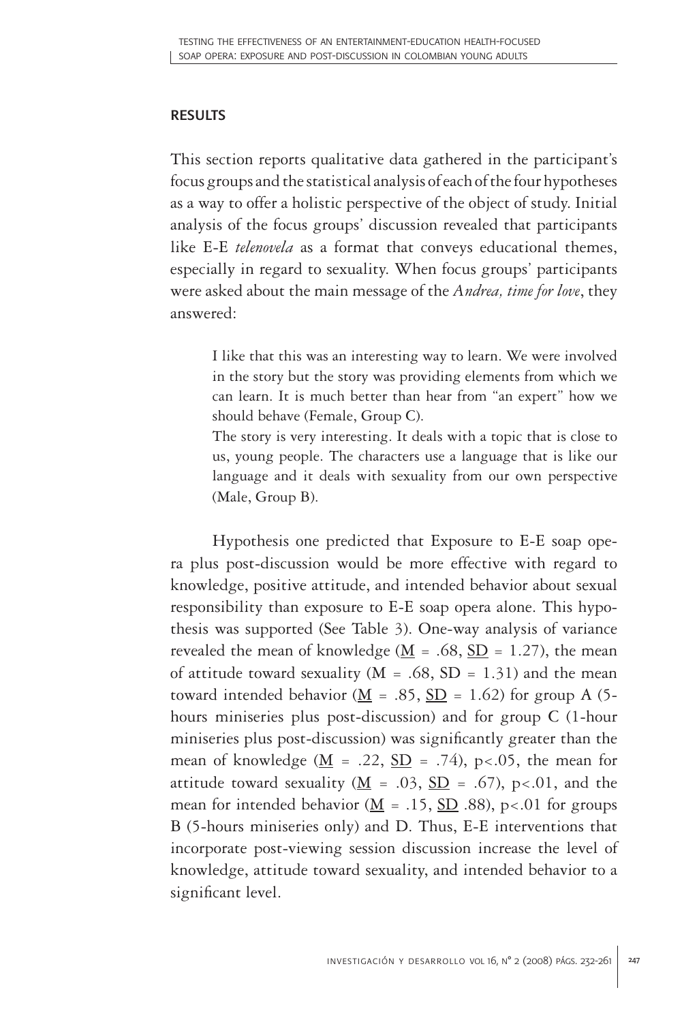## **RESULTS**

This section reports qualitative data gathered in the participant's focus groups and the statistical analysis of each of the four hypotheses as a way to offer a holistic perspective of the object of study. Initial analysis of the focus groups' discussion revealed that participants like E-E *telenovela* as a format that conveys educational themes, especially in regard to sexuality. When focus groups' participants were asked about the main message of the *Andrea, time for love*, they answered:

I like that this was an interesting way to learn. We were involved in the story but the story was providing elements from which we can learn. It is much better than hear from "an expert" how we should behave (Female, Group C).

The story is very interesting. It deals with a topic that is close to us, young people. The characters use a language that is like our language and it deals with sexuality from our own perspective (Male, Group B).

Hypothesis one predicted that Exposure to E-E soap opera plus post-discussion would be more effective with regard to knowledge, positive attitude, and intended behavior about sexual responsibility than exposure to E-E soap opera alone. This hypothesis was supported (See Table 3). One-way analysis of variance revealed the mean of knowledge ( $\underline{M}$  = .68,  $\underline{SD}$  = 1.27), the mean of attitude toward sexuality ( $M = .68$ ,  $SD = 1.31$ ) and the mean toward intended behavior ( $\underline{M}$  = .85,  $\underline{SD}$  = 1.62) for group A (5hours miniseries plus post-discussion) and for group C (1-hour miniseries plus post-discussion) was significantly greater than the mean of knowledge ( $M = .22$ ,  $SD = .74$ ), p<.05, the mean for attitude toward sexuality ( $\underline{M}$  = .03,  $\underline{SD}$  = .67), p<.01, and the mean for intended behavior ( $\underline{M} = .15$ ,  $\underline{SD}$  .88), p<.01 for groups B (5-hours miniseries only) and D. Thus, E-E interventions that incorporate post-viewing session discussion increase the level of knowledge, attitude toward sexuality, and intended behavior to a significant level.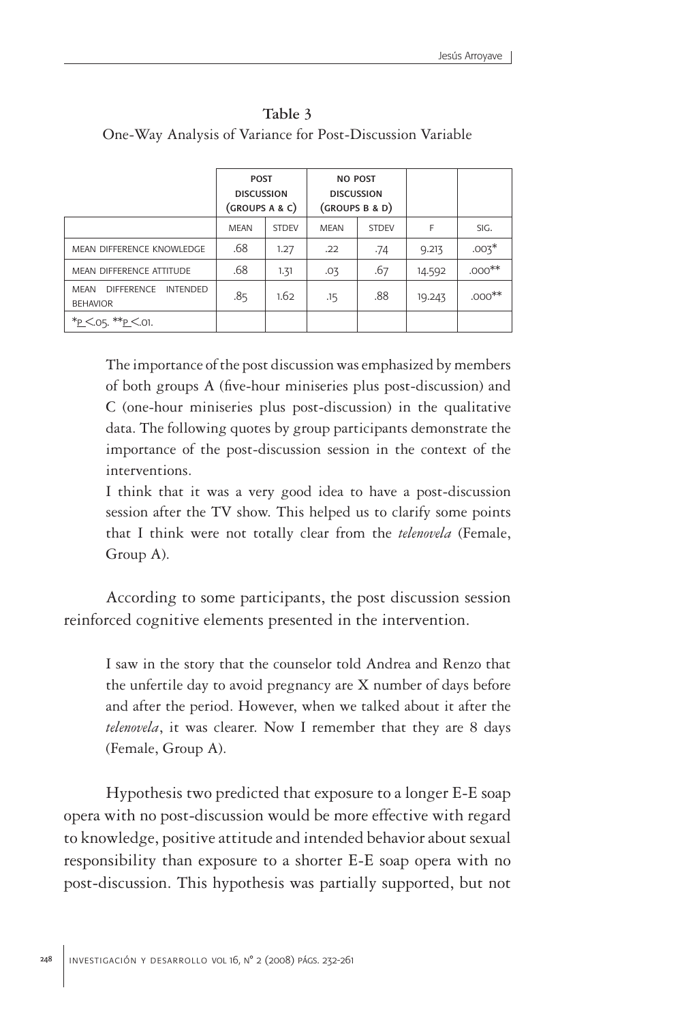|                                                                        | <b>POST</b><br><b>DISCUSSION</b><br>(GROUPS A & C) |              | <b>NO POST</b><br><b>DISCUSSION</b><br>(GROUPS B & D) |              |        |           |
|------------------------------------------------------------------------|----------------------------------------------------|--------------|-------------------------------------------------------|--------------|--------|-----------|
|                                                                        | <b>MEAN</b>                                        | <b>STDFV</b> | <b>MEAN</b>                                           | <b>STDFV</b> | F      | SIG.      |
| MEAN DIFFERENCE KNOWLEDGE                                              | .68                                                | 1.27         | .22                                                   | .74          | 9.213  | $.003*$   |
| MEAN DIFFERENCE ATTITUDE                                               | .68                                                | 1.31         | .03                                                   | .67          | 14.592 | $.000***$ |
| <b>MFAN</b><br><b>DIFFERENCE</b><br><b>INTENDED</b><br><b>BEHAVIOR</b> | .85                                                | 1.62         | .15                                                   | .88          | 19.243 | $.000***$ |
| *P < 05. **P < 01.                                                     |                                                    |              |                                                       |              |        |           |

**Table 3** One-Way Analysis of Variance for Post-Discussion Variable

The importance of the post discussion was emphasized by members of both groups A (five-hour miniseries plus post-discussion) and C (one-hour miniseries plus post-discussion) in the qualitative data. The following quotes by group participants demonstrate the importance of the post-discussion session in the context of the interventions.

I think that it was a very good idea to have a post-discussion session after the TV show. This helped us to clarify some points that I think were not totally clear from the *telenovela* (Female, Group A).

According to some participants, the post discussion session reinforced cognitive elements presented in the intervention.

I saw in the story that the counselor told Andrea and Renzo that the unfertile day to avoid pregnancy are X number of days before and after the period. However, when we talked about it after the *telenovela*, it was clearer. Now I remember that they are 8 days (Female, Group A).

Hypothesis two predicted that exposure to a longer E-E soap opera with no post-discussion would be more effective with regard to knowledge, positive attitude and intended behavior about sexual responsibility than exposure to a shorter E-E soap opera with no post-discussion. This hypothesis was partially supported, but not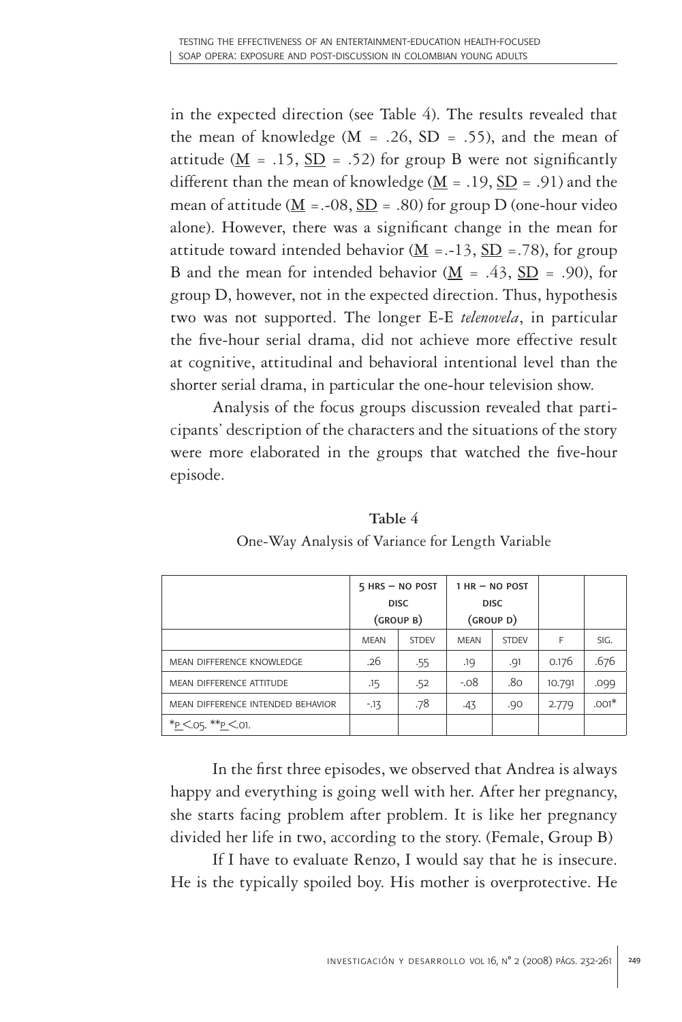in the expected direction (see Table 4). The results revealed that the mean of knowledge  $(M = .26, SD = .55)$ , and the mean of attitude ( $M = .15$ ,  $SD = .52$ ) for group B were not significantly different than the mean of knowledge  $(M = .19, SD = .91)$  and the mean of attitude ( $M = -08$ ,  $SD = .80$ ) for group D (one-hour video alone). However, there was a significant change in the mean for attitude toward intended behavior ( $\underline{M}$  = .-13,  $\underline{SD}$  = .78), for group B and the mean for intended behavior  $(M = .43, SD = .90)$ , for group D, however, not in the expected direction. Thus, hypothesis two was not supported. The longer E-E *telenovela*, in particular the five-hour serial drama, did not achieve more effective result at cognitive, attitudinal and behavioral intentional level than the shorter serial drama, in particular the one-hour television show.

Analysis of the focus groups discussion revealed that participants' description of the characters and the situations of the story were more elaborated in the groups that watched the five-hour episode.

|                                   | $5$ HRS $-$ NO POST |              | $1$ HR $-$ NO POST |              |        |         |
|-----------------------------------|---------------------|--------------|--------------------|--------------|--------|---------|
|                                   | <b>DISC</b>         |              | <b>DISC</b>        |              |        |         |
|                                   | (GROUP B)           |              | (GROUP D)          |              |        |         |
|                                   | <b>MEAN</b>         | <b>STDFV</b> | <b>MEAN</b>        | <b>STDEV</b> | F      | SIG.    |
| MEAN DIFFERENCE KNOWLEDGE         | .26                 | .55          | .19                | .91          | 0.176  | .676    |
| MEAN DIFFERENCE ATTITUDE          | .15                 | .52          | $-.08$             | .80          | 10.791 | .099    |
| MEAN DIFFERENCE INTENDED BEHAVIOR | $-13$               | .78          | .43                | .90          | 2.779  | $.001*$ |
| *P < 05. **P < 01.                |                     |              |                    |              |        |         |

**Table 4** One-Way Analysis of Variance for Length Variable

In the first three episodes, we observed that Andrea is always happy and everything is going well with her. After her pregnancy, she starts facing problem after problem. It is like her pregnancy divided her life in two, according to the story. (Female, Group B)

If I have to evaluate Renzo, I would say that he is insecure. He is the typically spoiled boy. His mother is overprotective. He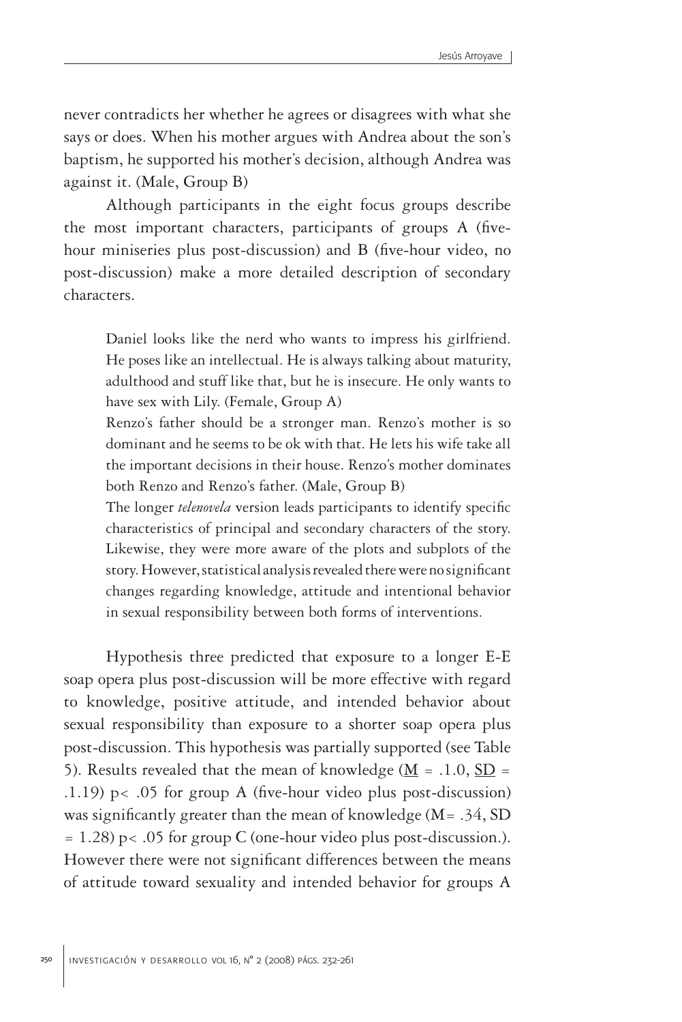never contradicts her whether he agrees or disagrees with what she says or does. When his mother argues with Andrea about the son's baptism, he supported his mother's decision, although Andrea was against it. (Male, Group B)

Although participants in the eight focus groups describe the most important characters, participants of groups A (fivehour miniseries plus post-discussion) and B (five-hour video, no post-discussion) make a more detailed description of secondary characters.

Daniel looks like the nerd who wants to impress his girlfriend. He poses like an intellectual. He is always talking about maturity, adulthood and stuff like that, but he is insecure. He only wants to have sex with Lily. (Female, Group A)

Renzo's father should be a stronger man. Renzo's mother is so dominant and he seems to be ok with that. He lets his wife take all the important decisions in their house. Renzo's mother dominates both Renzo and Renzo's father. (Male, Group B)

The longer *telenovela* version leads participants to identify specific characteristics of principal and secondary characters of the story. Likewise, they were more aware of the plots and subplots of the story. However, statistical analysis revealed there were no significant changes regarding knowledge, attitude and intentional behavior in sexual responsibility between both forms of interventions.

Hypothesis three predicted that exposure to a longer E-E soap opera plus post-discussion will be more effective with regard to knowledge, positive attitude, and intended behavior about sexual responsibility than exposure to a shorter soap opera plus post-discussion. This hypothesis was partially supported (see Table 5). Results revealed that the mean of knowledge ( $\underline{M} = .1.0$ ,  $\underline{SD} =$ .1.19) p< .05 for group A (five-hour video plus post-discussion) was significantly greater than the mean of knowledge  $(M = .34, SD)$  $= 1.28$ ) p $< .05$  for group C (one-hour video plus post-discussion.). However there were not significant differences between the means of attitude toward sexuality and intended behavior for groups A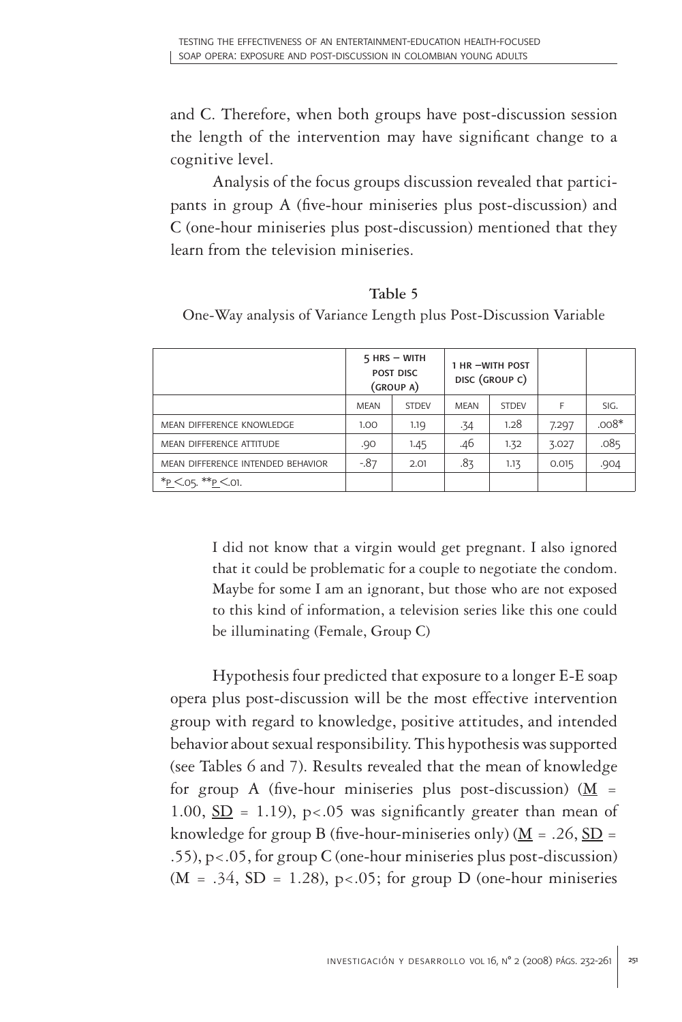and C. Therefore, when both groups have post-discussion session the length of the intervention may have significant change to a cognitive level.

Analysis of the focus groups discussion revealed that participants in group A (five-hour miniseries plus post-discussion) and C (one-hour miniseries plus post-discussion) mentioned that they learn from the television miniseries.

#### **Table 5**

One-Way analysis of Variance Length plus Post-Discussion Variable

|                                   | $5$ HRS $-$ WITH<br>POST DISC<br>(GROUP A) |              | 1 HR -WITH POST<br>DISC (GROUP C) |              |       |         |
|-----------------------------------|--------------------------------------------|--------------|-----------------------------------|--------------|-------|---------|
|                                   | <b>MFAN</b>                                | <b>STDFV</b> | <b>MFAN</b>                       | <b>STDFV</b> | F     | SIG.    |
| MEAN DIFFERENCE KNOWLEDGE         | 1.00                                       | 1.19         | .34                               | 1.28         | 7.297 | $.008*$ |
| MEAN DIFFERENCE ATTITUDE          | .90                                        | 1.45         | .46                               | 1.32         | 3.027 | .085    |
| MEAN DIFFERENCE INTENDED BEHAVIOR | $-0.87$                                    | 2.01         | .83                               | 1.13         | 0.015 | .904    |
| * $P \le 05$ , ** $P \le 01$ .    |                                            |              |                                   |              |       |         |

I did not know that a virgin would get pregnant. I also ignored that it could be problematic for a couple to negotiate the condom. Maybe for some I am an ignorant, but those who are not exposed to this kind of information, a television series like this one could be illuminating (Female, Group C)

Hypothesis four predicted that exposure to a longer E-E soap opera plus post-discussion will be the most effective intervention group with regard to knowledge, positive attitudes, and intended behavior about sexual responsibility. This hypothesis was supported (see Tables 6 and 7). Results revealed that the mean of knowledge for group A (five-hour miniseries plus post-discussion)  $(M =$ 1.00,  $SD = 1.19$ , p<.05 was significantly greater than mean of knowledge for group B (five-hour-miniseries only) ( $\underline{M} = .26$ ,  $\underline{SD} =$ .55), p<.05, for group C (one-hour miniseries plus post-discussion)  $(M = .34, SD = 1.28)$ , p<.05; for group D (one-hour miniseries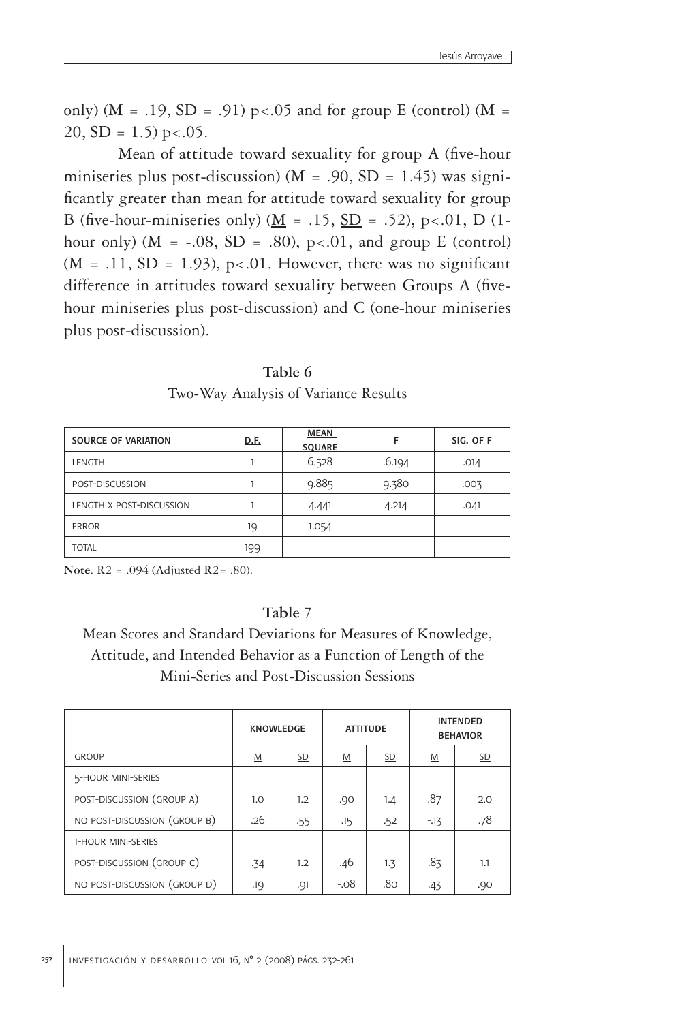only) ( $M = .19$ ,  $SD = .91$ ) p<.05 and for group E (control) ( $M =$ 20,  $SD = 1.5$ ) p < .05.

 Mean of attitude toward sexuality for group A (five-hour miniseries plus post-discussion) ( $M = .90$ ,  $SD = 1.45$ ) was significantly greater than mean for attitude toward sexuality for group B (five-hour-miniseries only) ( $\underline{M}$  = .15,  $\underline{SD}$  = .52), p<.01, D (1hour only) ( $M = -.08$ ,  $SD = .80$ ),  $p < .01$ , and group E (control)  $(M = .11, SD = 1.93)$ , p<.01. However, there was no significant difference in attitudes toward sexuality between Groups A (fivehour miniseries plus post-discussion) and C (one-hour miniseries plus post-discussion).

| SOURCE OF VARIATION      | D.F. | <b>MEAN</b><br><b>SOUARE</b> | F      | SIG. OF F |  |
|--------------------------|------|------------------------------|--------|-----------|--|
| <b>LENGTH</b>            |      | 6.528                        | .6.194 | .014      |  |
| POST-DISCUSSION          |      | 9.885                        | 9.380  | .003      |  |
| LENGTH X POST-DISCUSSION |      | 4.441                        | 4.214  | .041      |  |
| <b>ERROR</b>             | 19   | 1.054                        |        |           |  |
| <b>TOTAL</b>             | 199  |                              |        |           |  |

**Table 6** Two-Way Analysis of Variance Results

**Note**. R2 = .094 (Adjusted R2= .80).

### **Table 7**

Mean Scores and Standard Deviations for Measures of Knowledge, Attitude, and Intended Behavior as a Function of Length of the Mini-Series and Post-Discussion Sessions

|                              | <b>KNOWLEDGE</b> |           | <b>ATTITUDE</b>          |           | <b>INTENDED</b><br><b>BEHAVIOR</b> |           |
|------------------------------|------------------|-----------|--------------------------|-----------|------------------------------------|-----------|
| <b>GROUP</b>                 | $M$              | <b>SD</b> | $\underline{\mathsf{M}}$ | <b>SD</b> | $\underline{\mathsf{M}}$           | <u>SD</u> |
| 5-HOUR MINI-SERIES           |                  |           |                          |           |                                    |           |
| POST-DISCUSSION (GROUP A)    | 1.0              | 1.2       | .90                      | 1.4       | .87                                | 2.0       |
| NO POST-DISCUSSION (GROUP B) | .26              | .55       | .15                      | .52       | $-13$                              | .78       |
| 1-HOUR MINI-SERIES           |                  |           |                          |           |                                    |           |
| POST-DISCUSSION (GROUP C)    | .34              | 1.2       | .46                      | 1.3       | .83                                | 1.1       |
| NO POST-DISCUSSION (GROUP D) | .19              | .91       | $-.08$                   | .80       | .43                                | .90       |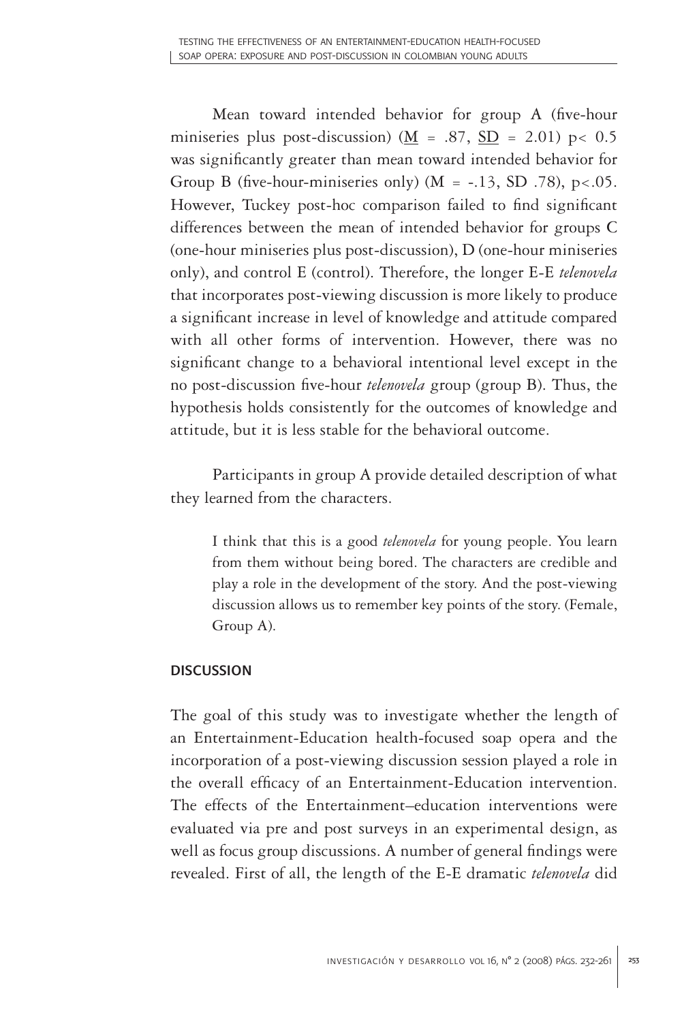Mean toward intended behavior for group A (five-hour miniseries plus post-discussion) ( $M = .87$ , SD = 2.01) p< 0.5 was significantly greater than mean toward intended behavior for Group B (five-hour-miniseries only) ( $M = -13$ , SD .78), p<.05. However, Tuckey post-hoc comparison failed to find significant differences between the mean of intended behavior for groups C (one-hour miniseries plus post-discussion), D (one-hour miniseries only), and control E (control). Therefore, the longer E-E *telenovela* that incorporates post-viewing discussion is more likely to produce a significant increase in level of knowledge and attitude compared with all other forms of intervention. However, there was no significant change to a behavioral intentional level except in the no post-discussion five-hour *telenovela* group (group B). Thus, the hypothesis holds consistently for the outcomes of knowledge and attitude, but it is less stable for the behavioral outcome.

Participants in group A provide detailed description of what they learned from the characters.

I think that this is a good *telenovela* for young people. You learn from them without being bored. The characters are credible and play a role in the development of the story. And the post-viewing discussion allows us to remember key points of the story. (Female, Group A).

## **DISCUSSION**

The goal of this study was to investigate whether the length of an Entertainment-Education health-focused soap opera and the incorporation of a post-viewing discussion session played a role in the overall efficacy of an Entertainment-Education intervention. The effects of the Entertainment–education interventions were evaluated via pre and post surveys in an experimental design, as well as focus group discussions. A number of general findings were revealed. First of all, the length of the E-E dramatic *telenovela* did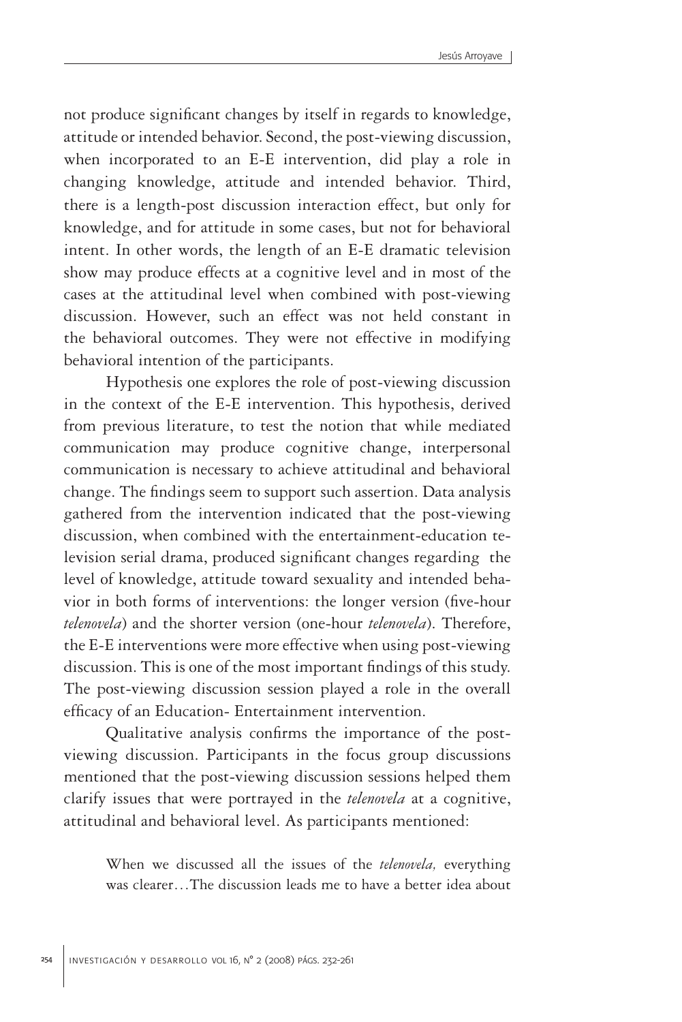not produce significant changes by itself in regards to knowledge, attitude or intended behavior. Second, the post-viewing discussion, when incorporated to an E-E intervention, did play a role in changing knowledge, attitude and intended behavior. Third, there is a length-post discussion interaction effect, but only for knowledge, and for attitude in some cases, but not for behavioral intent. In other words, the length of an E-E dramatic television show may produce effects at a cognitive level and in most of the cases at the attitudinal level when combined with post-viewing discussion. However, such an effect was not held constant in the behavioral outcomes. They were not effective in modifying behavioral intention of the participants.

Hypothesis one explores the role of post-viewing discussion in the context of the E-E intervention. This hypothesis, derived from previous literature, to test the notion that while mediated communication may produce cognitive change, interpersonal communication is necessary to achieve attitudinal and behavioral change. The findings seem to support such assertion. Data analysis gathered from the intervention indicated that the post-viewing discussion, when combined with the entertainment-education television serial drama, produced significant changes regarding the level of knowledge, attitude toward sexuality and intended behavior in both forms of interventions: the longer version (five-hour *telenovela*) and the shorter version (one-hour *telenovela*). Therefore, the E-E interventions were more effective when using post-viewing discussion. This is one of the most important findings of this study. The post-viewing discussion session played a role in the overall efficacy of an Education- Entertainment intervention.

Qualitative analysis confirms the importance of the postviewing discussion. Participants in the focus group discussions mentioned that the post-viewing discussion sessions helped them clarify issues that were portrayed in the *telenovela* at a cognitive, attitudinal and behavioral level. As participants mentioned:

When we discussed all the issues of the *telenovela,* everything was clearer…The discussion leads me to have a better idea about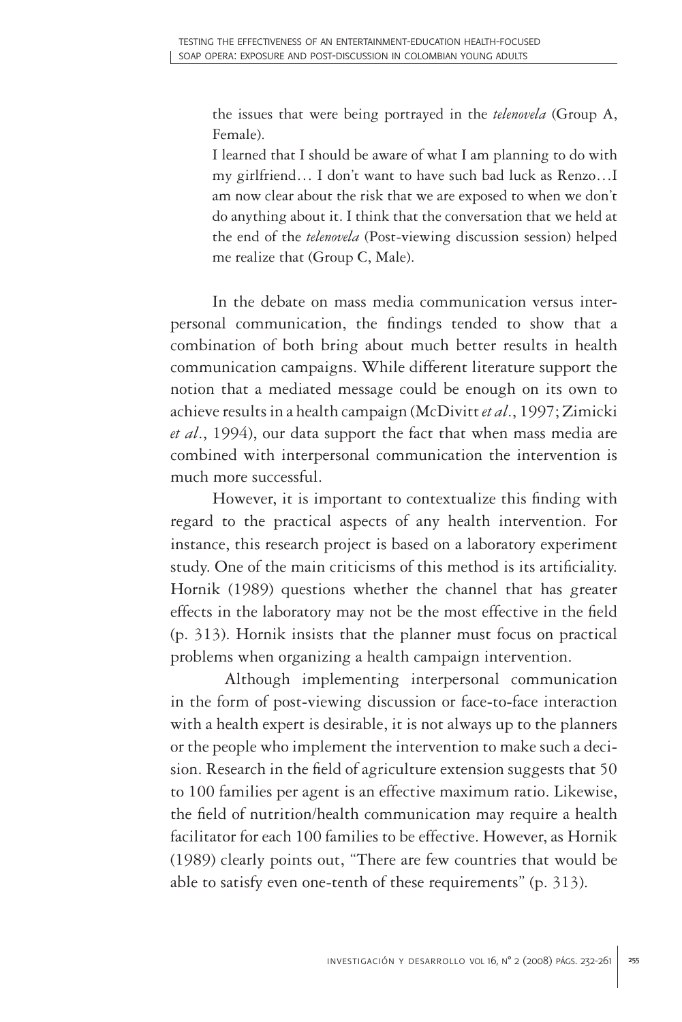the issues that were being portrayed in the *telenovela* (Group A, Female).

I learned that I should be aware of what I am planning to do with my girlfriend… I don't want to have such bad luck as Renzo…I am now clear about the risk that we are exposed to when we don't do anything about it. I think that the conversation that we held at the end of the *telenovela* (Post-viewing discussion session) helped me realize that (Group C, Male).

In the debate on mass media communication versus interpersonal communication, the findings tended to show that a combination of both bring about much better results in health communication campaigns. While different literature support the notion that a mediated message could be enough on its own to achieve results in a health campaign (McDivitt *et al*., 1997; Zimicki *et al*., 1994), our data support the fact that when mass media are combined with interpersonal communication the intervention is much more successful.

However, it is important to contextualize this finding with regard to the practical aspects of any health intervention. For instance, this research project is based on a laboratory experiment study. One of the main criticisms of this method is its artificiality. Hornik (1989) questions whether the channel that has greater effects in the laboratory may not be the most effective in the field (p. 313). Hornik insists that the planner must focus on practical problems when organizing a health campaign intervention.

 Although implementing interpersonal communication in the form of post-viewing discussion or face-to-face interaction with a health expert is desirable, it is not always up to the planners or the people who implement the intervention to make such a decision. Research in the field of agriculture extension suggests that 50 to 100 families per agent is an effective maximum ratio. Likewise, the field of nutrition/health communication may require a health facilitator for each 100 families to be effective. However, as Hornik (1989) clearly points out, "There are few countries that would be able to satisfy even one-tenth of these requirements" (p. 313).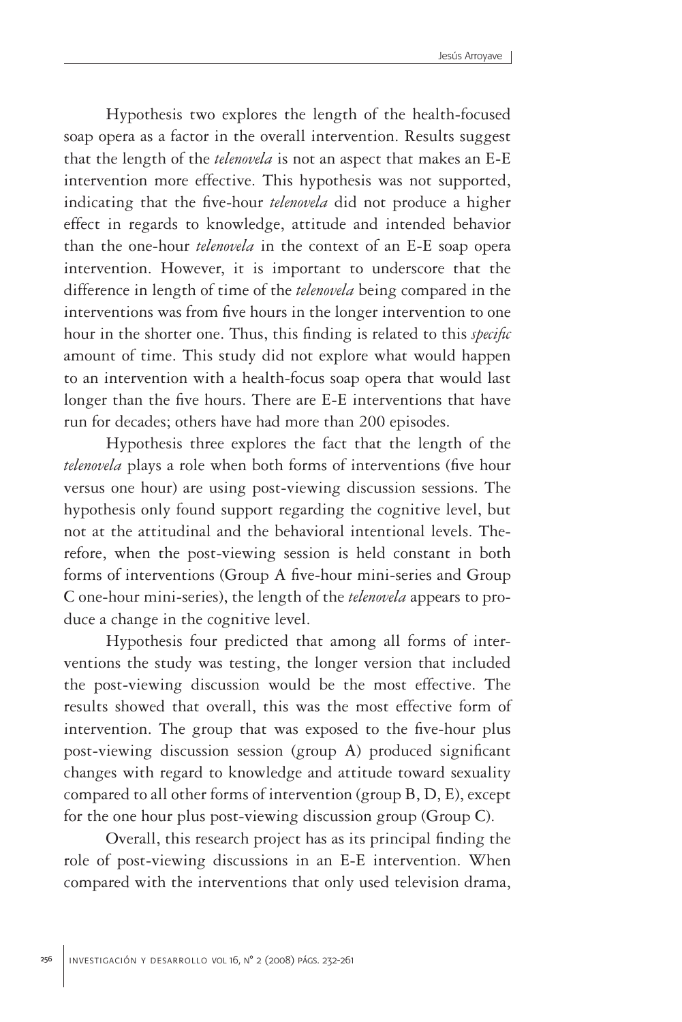Hypothesis two explores the length of the health-focused soap opera as a factor in the overall intervention. Results suggest that the length of the *telenovela* is not an aspect that makes an E-E intervention more effective. This hypothesis was not supported, indicating that the five-hour *telenovela* did not produce a higher effect in regards to knowledge, attitude and intended behavior than the one-hour *telenovela* in the context of an E-E soap opera intervention. However, it is important to underscore that the difference in length of time of the *telenovela* being compared in the interventions was from five hours in the longer intervention to one hour in the shorter one. Thus, this finding is related to this *specific* amount of time. This study did not explore what would happen to an intervention with a health-focus soap opera that would last longer than the five hours. There are E-E interventions that have run for decades; others have had more than 200 episodes.

Hypothesis three explores the fact that the length of the *telenovela* plays a role when both forms of interventions (five hour versus one hour) are using post-viewing discussion sessions. The hypothesis only found support regarding the cognitive level, but not at the attitudinal and the behavioral intentional levels. Therefore, when the post-viewing session is held constant in both forms of interventions (Group A five-hour mini-series and Group C one-hour mini-series), the length of the *telenovela* appears to produce a change in the cognitive level.

Hypothesis four predicted that among all forms of interventions the study was testing, the longer version that included the post-viewing discussion would be the most effective. The results showed that overall, this was the most effective form of intervention. The group that was exposed to the five-hour plus post-viewing discussion session (group A) produced significant changes with regard to knowledge and attitude toward sexuality compared to all other forms of intervention (group B, D, E), except for the one hour plus post-viewing discussion group (Group C).

Overall, this research project has as its principal finding the role of post-viewing discussions in an E-E intervention. When compared with the interventions that only used television drama,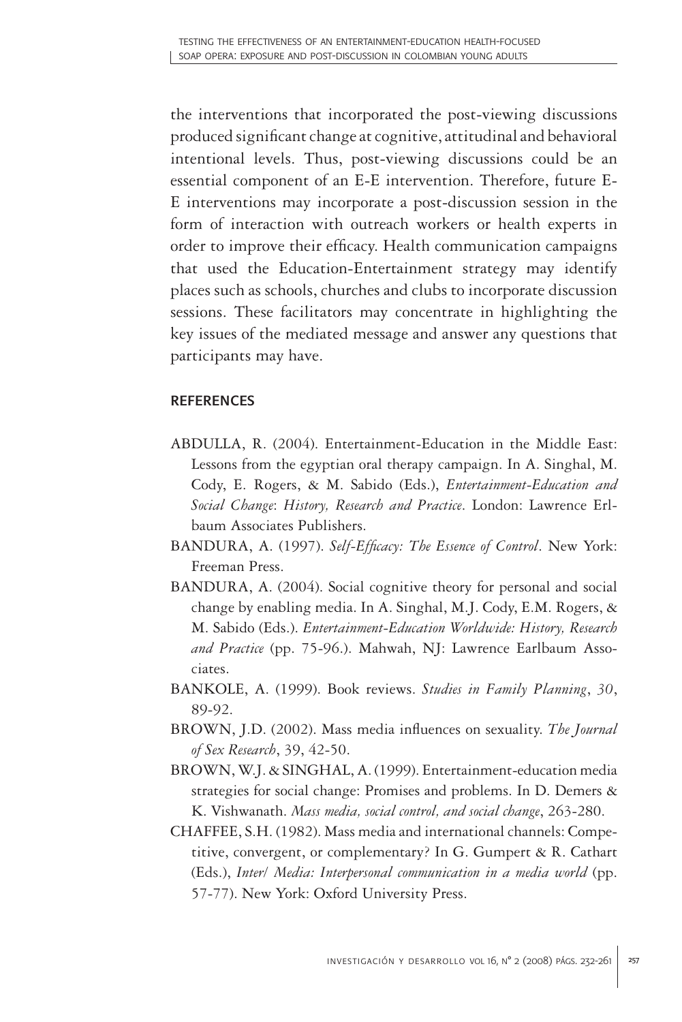the interventions that incorporated the post-viewing discussions produced significant change at cognitive, attitudinal and behavioral intentional levels. Thus, post-viewing discussions could be an essential component of an E-E intervention. Therefore, future E-E interventions may incorporate a post-discussion session in the form of interaction with outreach workers or health experts in order to improve their efficacy. Health communication campaigns that used the Education-Entertainment strategy may identify places such as schools, churches and clubs to incorporate discussion sessions. These facilitators may concentrate in highlighting the key issues of the mediated message and answer any questions that participants may have.

## **REFERENCES**

- ABDULLA, R. (2004). Entertainment-Education in the Middle East: Lessons from the egyptian oral therapy campaign. In A. Singhal, M. Cody, E. Rogers, & M. Sabido (Eds.), *Entertainment-Education and Social Change*: *History, Research and Practice*. London: Lawrence Erlbaum Associates Publishers.
- BANDURA, A. (1997). *Self-Efficacy: The Essence of Control*. New York: Freeman Press.
- BANDURA, A. (2004). Social cognitive theory for personal and social change by enabling media. In A. Singhal, M.J. Cody, E.M. Rogers, & M. Sabido (Eds.). *Entertainment-Education Worldwide: History, Research and Practice* (pp. 75-96.). Mahwah, NJ: Lawrence Earlbaum Associates.
- BANKOLE, A. (1999). Book reviews. *Studies in Family Planning*, *30*, 89-92.
- BROWN, J.D. (2002). Mass media influences on sexuality. *The Journal of Sex Research*, 39, 42-50.
- BROWN, W.J. & SINGHAL, A. (1999). Entertainment-education media strategies for social change: Promises and problems. In D. Demers & K. Vishwanath. *Mass media, social control, and social change*, 263-280.
- CHAFFEE, S.H. (1982). Mass media and international channels: Competitive, convergent, or complementary? In G. Gumpert & R. Cathart (Eds.), *Inter/ Media: Interpersonal communication in a media world* (pp. 57-77). New York: Oxford University Press.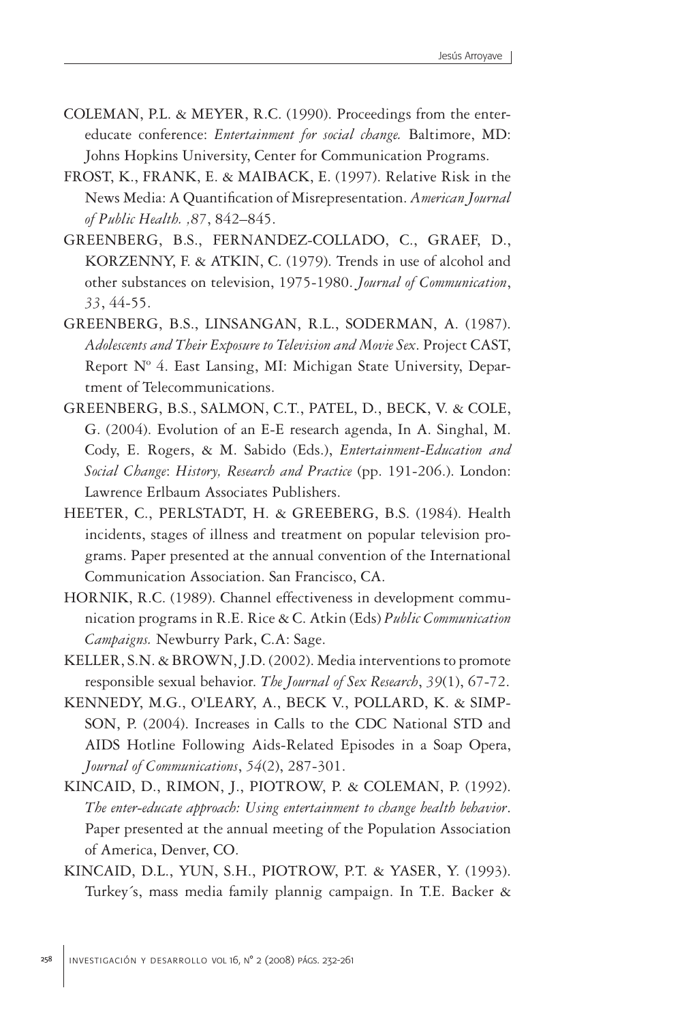- COLEMAN, P.L. & MEYER, R.C. (1990). Proceedings from the entereducate conference: *Entertainment for social change.* Baltimore, MD: Johns Hopkins University, Center for Communication Programs.
- FROST, K., FRANK, E. & MAIBACK, E. (1997). Relative Risk in the News Media: A Quantification of Misrepresentation. *American Journal of Public Health. ,87*, 842–845.
- GREENBERG, B.S., FERNANDEZ-COLLADO, C., GRAEF, D., KORZENNY, F. & ATKIN, C. (1979). Trends in use of alcohol and other substances on television, 1975-1980. *Journal of Communication*, *33*, 44-55.
- GREENBERG, B.S., LINSANGAN, R.L., SODERMAN, A. (1987). *Adolescents and Their Exposure to Television and Movie Sex*. Project CAST, Report Nº 4. East Lansing, MI: Michigan State University, Department of Telecommunications.
- GREENBERG, B.S., SALMON, C.T., PATEL, D., BECK, V. & COLE, G. (2004). Evolution of an E-E research agenda, In A. Singhal, M. Cody, E. Rogers, & M. Sabido (Eds.), *Entertainment-Education and Social Change*: *History, Research and Practice* (pp. 191-206.). London: Lawrence Erlbaum Associates Publishers.
- HEETER, C., PERLSTADT, H. & GREEBERG, B.S. (1984). Health incidents, stages of illness and treatment on popular television programs. Paper presented at the annual convention of the International Communication Association. San Francisco, CA.
- HORNIK, R.C. (1989). Channel effectiveness in development communication programs in R.E. Rice & C. Atkin (Eds) *Public Communication Campaigns.* Newburry Park, C.A: Sage.
- KELLER, S.N. & BROWN, J.D. (2002). Media interventions to promote responsible sexual behavior. *The Journal of Sex Research*, *39*(1), 67-72.
- KENNEDY, M.G., O'LEARY, A., BECK V., POLLARD, K. & SIMP-SON, P. (2004). Increases in Calls to the CDC National STD and AIDS Hotline Following Aids-Related Episodes in a Soap Opera, *Journal of Communications*, *54*(2), 287-301.
- KINCAID, D., RIMON, J., PIOTROW, P. & COLEMAN, P. (1992). *The enter-educate approach: Using entertainment to change health behavior*. Paper presented at the annual meeting of the Population Association of America, Denver, CO.
- KINCAID, D.L., YUN, S.H., PIOTROW, P.T. & YASER, Y. (1993). Turkey´s, mass media family plannig campaign. In T.E. Backer &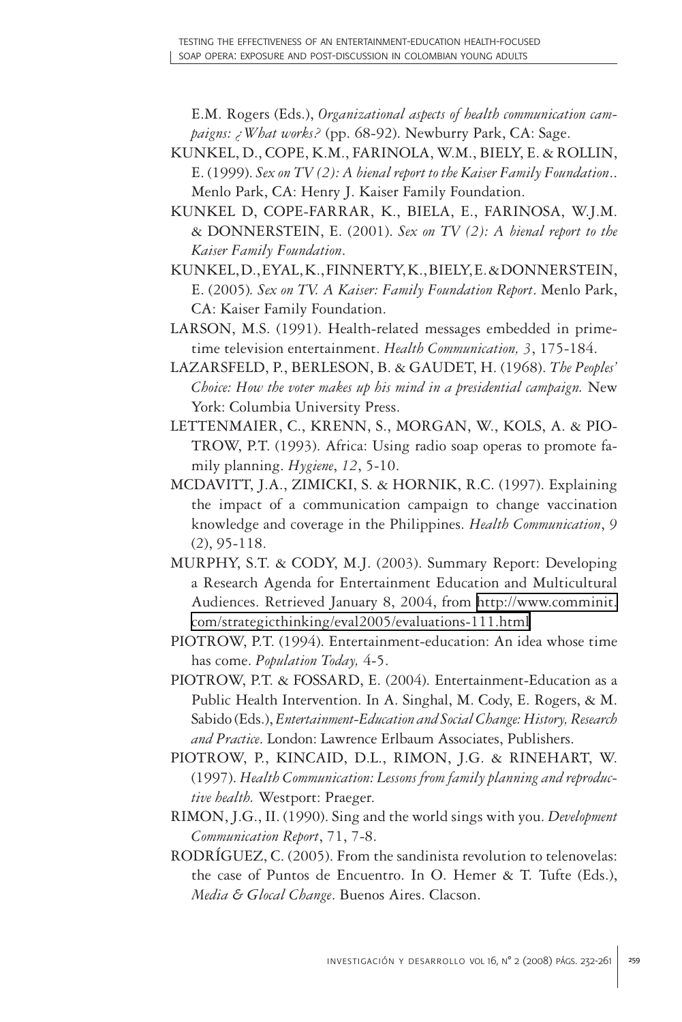E.M. Rogers (Eds.), *Organizational aspects of health communication campaigns: ¿What works?* (pp. 68-92). Newburry Park, CA: Sage.

- KUNKEL, D., COPE, K.M., FARINOLA, W.M., BIELY, E. & ROLLIN, E. (1999). *Sex on TV (2): A bienal report to the Kaiser Family Foundation*.. Menlo Park, CA: Henry J. Kaiser Family Foundation.
- KUNKEL D, COPE-FARRAR, K., BIELA, E., FARINOSA, W.J.M. & DONNERSTEIN, E. (2001). *Sex on TV (2): A bienal report to the Kaiser Family Foundation*.
- KUNKEL, D., EYAL, K., FINNERTY, K., BIELY, E. & DONNERSTEIN, E. (2005)*. Sex on TV. A Kaiser: Family Foundation Report*. Menlo Park, CA: Kaiser Family Foundation.
- LARSON, M.S. (1991). Health-related messages embedded in primetime television entertainment. *Health Communication, 3*, 175-184.
- LAZARSFELD, P., BERLESON, B. & GAUDET, H. (1968). *The Peoples' Choice: How the voter makes up his mind in a presidential campaign.* New York: Columbia University Press.
- LETTENMAIER, C., KRENN, S., MORGAN, W., KOLS, A. & PIO-TROW, P.T. (1993). Africa: Using radio soap operas to promote family planning. *Hygiene*, *12*, 5-10.
- MCDAVITT, J.A., ZIMICKI, S. & HORNIK, R.C. (1997). Explaining the impact of a communication campaign to change vaccination knowledge and coverage in the Philippines. *Health Communication*, *9*  (2), 95-118.
- MURPHY, S.T. & CODY, M.J. (2003). Summary Report: Developing a Research Agenda for Entertainment Education and Multicultural Audiences. Retrieved January 8, 2004, from [http://www.comminit.](http://www.comminit.com/strategicthinking/eval2005/evaluations-111.html) [com/strategicthinking/eval2005/evaluations-111.html](http://www.comminit.com/strategicthinking/eval2005/evaluations-111.html)
- PIOTROW, P.T. (1994). Entertainment-education: An idea whose time has come. *Population Today,* 4-5.
- PIOTROW, P.T. & FOSSARD, E. (2004). Entertainment-Education as a Public Health Intervention. In A. Singhal, M. Cody, E. Rogers, & M. Sabido (Eds.), *Entertainment-Education and Social Change: History, Research and Practice*. London: Lawrence Erlbaum Associates, Publishers.
- PIOTROW, P., KINCAID, D.L., RIMON, J.G. & RINEHART, W. (1997). *Health Communication: Lessons from family planning and reproductive health.* Westport: Praeger.
- RIMON, J.G., II. (1990). Sing and the world sings with you. *Development Communication Report*, 71, 7-8.
- RODRÍGUEZ, C. (2005). From the sandinista revolution to telenovelas: the case of Puntos de Encuentro. In O. Hemer & T. Tufte (Eds.), *Media & Glocal Change*. Buenos Aires. Clacson.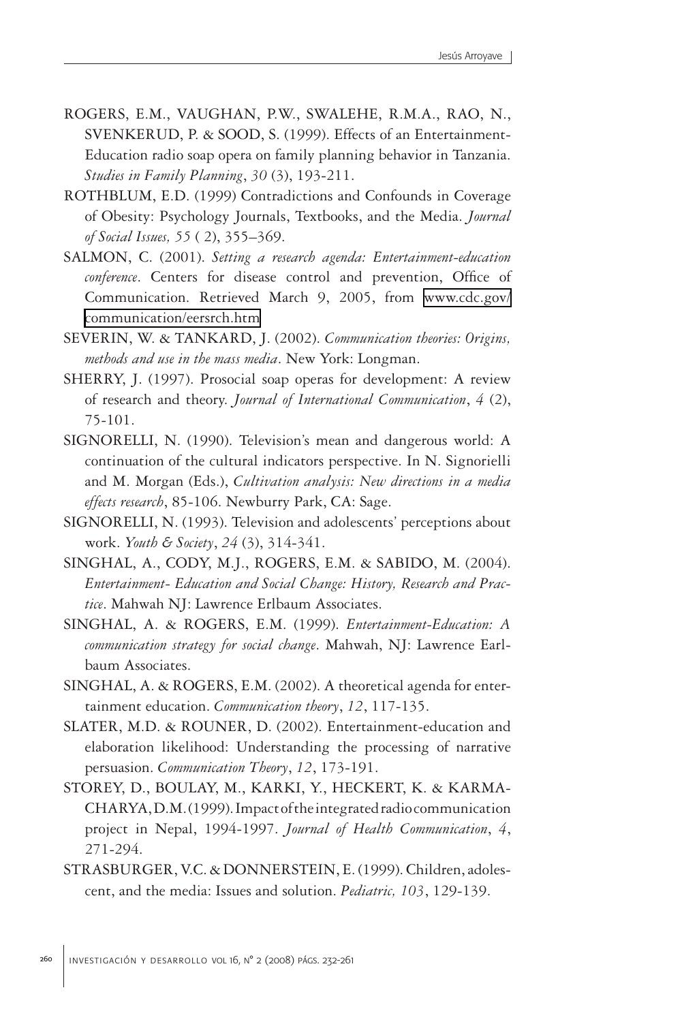- ROGERS, E.M., VAUGHAN, P.W., SWALEHE, R.M.A., RAO, N., SVENKERUD, P. & SOOD, S. (1999). Effects of an Entertainment-Education radio soap opera on family planning behavior in Tanzania. *Studies in Family Planning*, *30* (3), 193-211.
- ROTHBLUM, E.D. (1999) Contradictions and Confounds in Coverage of Obesity: Psychology Journals, Textbooks, and the Media. *Journal of Social Issues, 55* ( 2), 355–369.
- SALMON, C. (2001). *Setting a research agenda: Entertainment-education conference*. Centers for disease control and prevention, Office of Communication. Retrieved March 9, 2005, from [www.cdc.gov/](http://www.cdc.gov/communication/eersrch.htm) [communication/eersrch.htm](http://www.cdc.gov/communication/eersrch.htm)
- SEVERIN, W. & TANKARD, J. (2002). *Communication theories: Origins, methods and use in the mass media*. New York: Longman.
- SHERRY, J. (1997). Prosocial soap operas for development: A review of research and theory. *Journal of International Communication*, *4* (2), 75-101.
- SIGNORELLI, N. (1990). Television's mean and dangerous world: A continuation of the cultural indicators perspective. In N. Signorielli and M. Morgan (Eds.), *Cultivation analysis: New directions in a media effects research*, 85-106. Newburry Park, CA: Sage.
- SIGNORELLI, N. (1993). Television and adolescents' perceptions about work. *Youth & Society*, *24* (3), 314-341.
- SINGHAL, A., CODY, M.J., ROGERS, E.M. & SABIDO, M. (2004). *Entertainment- Education and Social Change: History, Research and Practice*. Mahwah NJ: Lawrence Erlbaum Associates.
- SINGHAL, A. & ROGERS, E.M. (1999). *Entertainment-Education: A communication strategy for social change*. Mahwah, NJ: Lawrence Earlbaum Associates.
- SINGHAL, A. & ROGERS, E.M. (2002). A theoretical agenda for entertainment education. *Communication theory*, *12*, 117-135.
- SLATER, M.D. & ROUNER, D. (2002). Entertainment-education and elaboration likelihood: Understanding the processing of narrative persuasion. *Communication Theory*, *12*, 173-191.
- STOREY, D., BOULAY, M., KARKI, Y., HECKERT, K. & KARMA-CHARYA, D.M. (1999). Impact of the integrated radio communication project in Nepal, 1994-1997. *Journal of Health Communication*, *4*, 271-294.
- STRASBURGER, V.C. & DONNERSTEIN, E. (1999). Children, adolescent, and the media: Issues and solution. *Pediatric, 103*, 129-139.